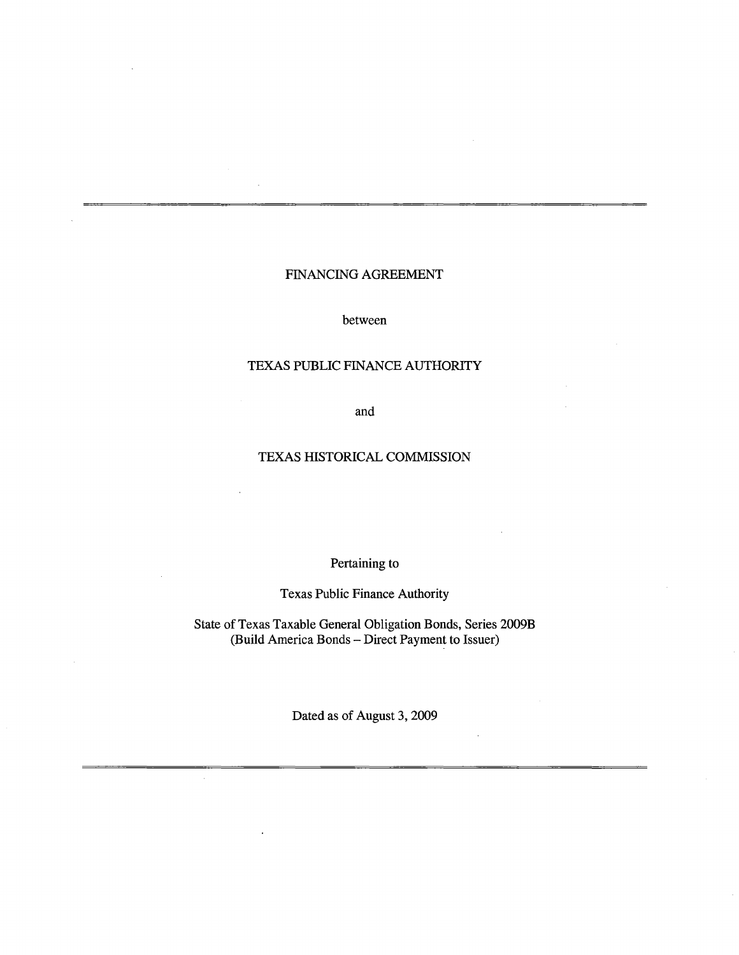# FINANCING AGREEMENT

between

## TEXAS PUBLIC FINANCE AUTHORITY

and

## TEXAS HISTORICAL COMMISSION

# Pertaining to

Texas Public Finance Authority

State of Texas Taxable General Obligation Bonds, Series 2009B (Build America Bonds- Direct Payment to Issuer)

Dated as of August 3, 2009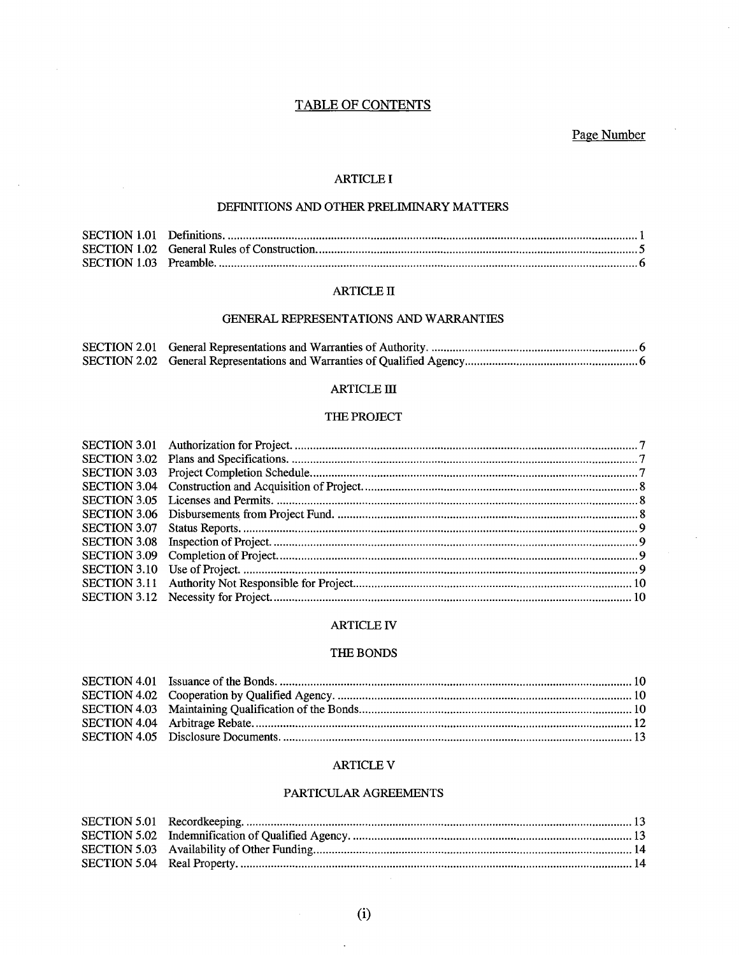# **TABLE OF CONTENTS**

Page Number

 $\sim$ 

#### **ARTICLE I**

 $\bar{z}$ 

## DEFINITIONS AND OTHER PRELIMINARY MATTERS

#### **ARTICLE II**

## GENERAL REPRESENTATIONS AND WARRANTIES

#### $\operatorname{ARTICLE}$  III

#### THE PROJECT

#### **ARTICLE IV**

#### THE BONDS

## **ARTICLE V**

#### PARTICULAR AGREEMENTS

 $\ddot{\phantom{0}}$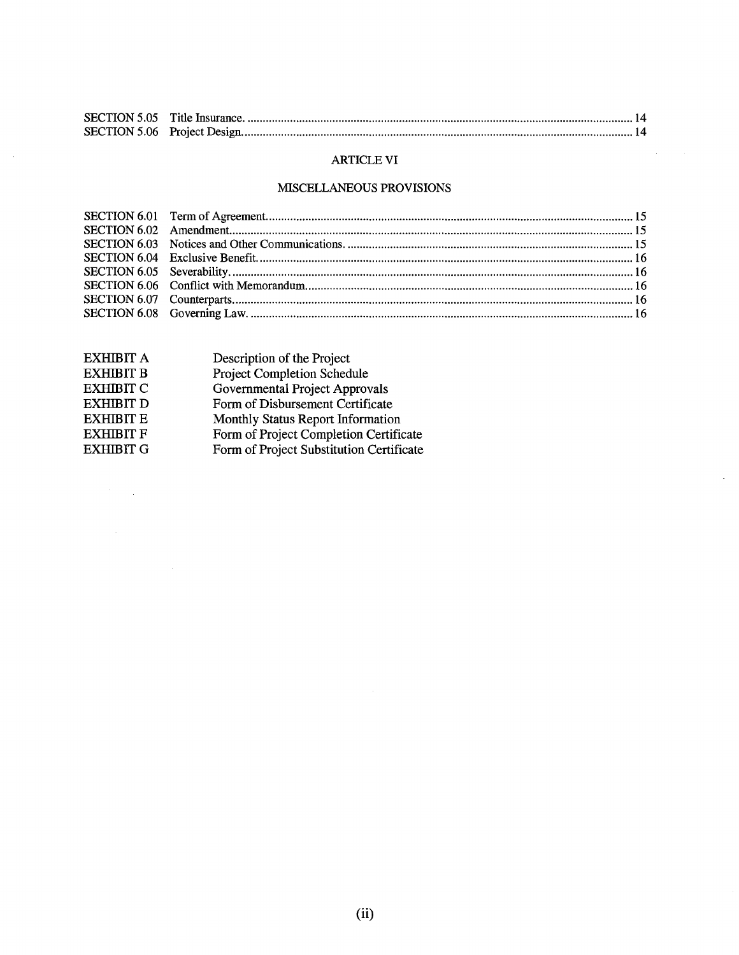# ARTICLE VI

 $\mathcal{A}^{\mathcal{A}}$  and  $\mathcal{A}^{\mathcal{A}}$ 

 $\hat{\mathcal{A}}$ 

# MISCELLANEOUS PROVISIONS

| <b>EXHIBIT A</b> | Description of the Project               |
|------------------|------------------------------------------|
| <b>EXHIBIT B</b> | <b>Project Completion Schedule</b>       |
| <b>EXHIBIT C</b> | Governmental Project Approvals           |
| <b>EXHIBIT D</b> | Form of Disbursement Certificate         |
| <b>EXHIBIT E</b> | Monthly Status Report Information        |
| <b>EXHIBIT F</b> | Form of Project Completion Certificate   |
| <b>EXHIBIT G</b> | Form of Project Substitution Certificate |
|                  |                                          |

 $\label{eq:2.1} \frac{1}{\sqrt{2}}\int_{\mathbb{R}^3}\frac{1}{\sqrt{2}}\left(\frac{1}{\sqrt{2}}\right)^2\frac{1}{\sqrt{2}}\left(\frac{1}{\sqrt{2}}\right)^2\frac{1}{\sqrt{2}}\left(\frac{1}{\sqrt{2}}\right)^2\frac{1}{\sqrt{2}}\left(\frac{1}{\sqrt{2}}\right)^2.$ 

 $\sim 10^{-1}$ 

 $\sim 10^6$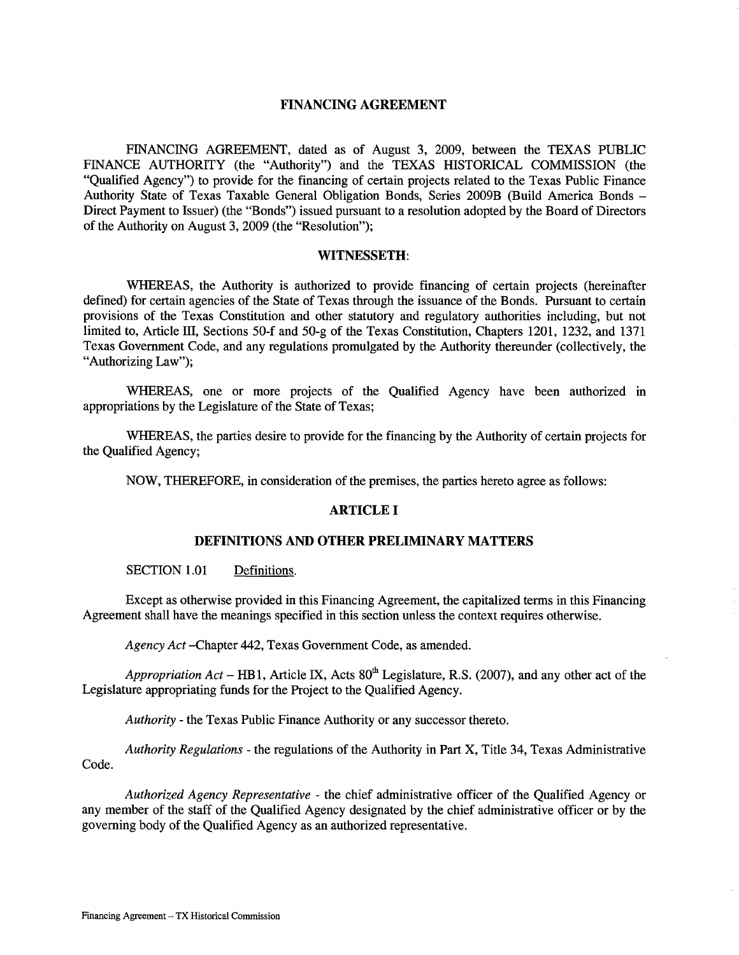#### FINANCING AGREEMENT

FINANCING AGREEMENT, dated as of August 3, 2009, between the TEXAS PUBLIC FINANCE AUTHORITY (the "Authority") and the TEXAS HISTORICAL COMMISSION (the "Qualified Agency") to provide for the financing of certain projects related to the Texas Public Finance Authority State of Texas Taxable General Obligation Bonds, Series 2009B (Build America Bonds - Direct Payment to Issuer) (the "Bonds") issued pursuant to a resolution adopted by the Board of Directors of the Authority on August 3, 2009 (the "Resolution");

#### WITNESSETH:

WHEREAS, the Authority is authorized to provide financing of certain projects (hereinafter defined) for certain agencies of the State of Texas through the issuance of the Bonds. Pursuant to certain provisions of the Texas Constitution and other statutory and regulatory authorities including, but not limited to, Article III, Sections 50-f and 50-g of the Texas Constitution, Chapters 1201, 1232, and 1371 Texas Government Code, and any regulations promulgated by the Authority thereunder (collectively, the "Authorizing Law");

WHEREAS, one or more projects of the Qualified Agency have been authorized in appropriations by the Legislature of the State of Texas;

WHEREAS, the parties desire to provide for the financing by the Authority of certain projects for the Qualified Agency;

NOW, THEREFORE, in consideration of the premises, the parties hereto agree as follows:

#### ARTICLE I

## DEFINITIONS AND OTHER PRELIMINARY MATTERS

SECTION 1.01 Definitions.

Except as otherwise provided in this Financing Agreement, the capitalized terms in this Financing Agreement shall have the meanings specified in this section unless the context requires otherwise.

*Agency Act* -Chapter 442, Texas Government Code, as amended.

*Appropriation Act* – HB1, Article IX, Acts  $80^{th}$  Legislature, R.S. (2007), and any other act of the Legislature appropriating funds for the Project to the Qualified Agency.

*Authority* - the Texas Public Finance Authority or any successor thereto.

*Authority Regulations* - the regulations of the Authority in Part X, Title 34, Texas Administrative Code.

*Authorized Agency Representative* - the chief administrative officer of the Qualified Agency or any member of the staff of the Qualified Agency designated by the chief administrative officer or by the governing body of the Qualified Agency as an authorized representative.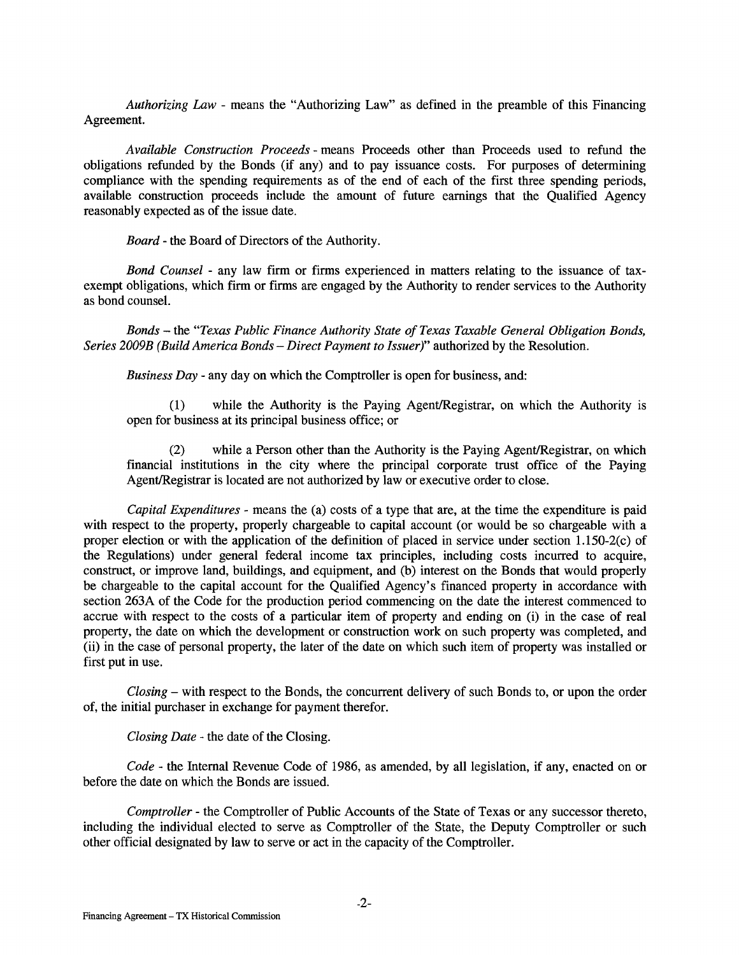*Authorizing* Law - means the "Authorizing Law" as defined in the preamble of this Financing Agreement.

*Available Construction Proceeds* - means Proceeds other than Proceeds used to refund the obligations refunded by the Bonds (if any) and to pay issuance costs. For purposes of determining compliance with the spending requirements as of the end of each of the first three spending periods, available construction proceeds include the amount of future earnings that the Qualified Agency reasonably expected as of the issue date.

*Board* - the Board of Directors of the Authority.

*Bond Counsel* - any law firm or firms experienced in matters relating to the issuance of taxexempt obligations, which firm or firms are engaged by the Authority to render services to the Authority as bond counsel.

*Bonds* - the *"Texas Public Finance Authority State of Texas Taxable General Obligation Bonds, Series 2009B (Build America Bonds- Direct Payment to Issuer)"* authorized by the Resolution.

*Business Day* - any day on which the Comptroller is open for business, and:

(1) while the Authority is the Paying Agent/Registrar, on which the Authority is open for business at its principal business office; or

(2) while a Person other than the Authority is the Paying Agent/Registrar, on which financial institutions in the city where the principal corporate trust office of the Paying Agent/Registrar is located are not authorized by law or executive order to close.

*Capital Expenditures-* means the (a) costs of a type that are, at the time the expenditure is paid with respect to the property, properly chargeable to capital account (or would be so chargeable with a proper election or with the application of the definition of placed in service under section 1.150-2(c) of the Regulations) under general federal income tax principles, including costs incurred to acquire, construct, or improve land, buildings, and equipment, and (b) interest on the Bonds that would properly be chargeable to the capital account for the Qualified Agency's financed property in accordance with section 263A of the Code for the production period commencing on the date the interest commenced to accrue with respect to the costs of a particular item of property and ending on (i) in the case of real property, the date on which the development or construction work on such property was completed, and (ii) in the case of personal property, the later of the date on which such item of property was installed or first put in use.

*Closing* - with respect to the Bonds, the concurrent delivery of such Bonds to, or upon the order of, the initial purchaser in exchange for payment therefor.

*Closing Date* - the date of the Closing.

*Code* - the Internal Revenue Code of 1986, as amended, by all legislation, if any, enacted on or before the date on which the Bonds are issued.

*Comptroller* - the Comptroller of Public Accounts of the State of Texas or any successor thereto, including the individual elected to serve as Comptroller of the State, the Deputy Comptroller or such other official designated by law to serve or act in the capacity of the Comptroller.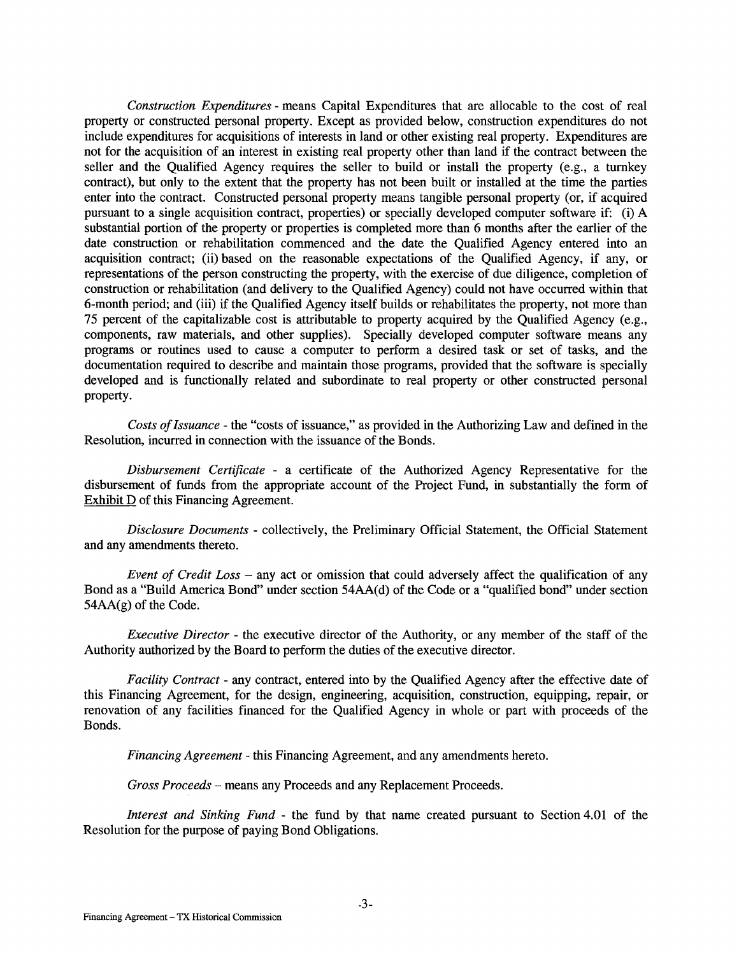*Construction Expenditures* - means Capital Expenditures that are allocable to the cost of real property or constructed personal property. Except as provided below, construction expenditures do not include expenditures for acquisitions of interests in land or other existing real property. Expenditures are not for the acquisition of an interest in existing real property other than land if the contract between the seller and the Qualified Agency requires the seller to build or install the property (e.g., a turnkey contract), but only to the extent that the property has not been built or installed at the time the parties enter into the contract. Constructed personal property means tangible personal property (or, if acquired pursuant to a single acquisition contract, properties) or specially developed computer software if: (i) A substantial portion of the property or properties is completed more than 6 months after the earlier of the date construction or rehabilitation commenced and the date the Qualified Agency entered into an acquisition contract; (ii) based on the reasonable expectations of the Qualified Agency, if any, or representations of the person constructing the property, with the exercise of due diligence, completion of construction or rehabilitation (and delivery to the Qualified Agency) could not have occurred within that 6-month period; and (iii) if the Qualified Agency itself builds or rehabilitates the property, not more than 75 percent of the capitalizable cost is attributable to property acquired by the Qualified Agency (e.g., components, raw materials, and other supplies). Specially developed computer software means any programs or routines used to cause a computer to perform a desired task or set of tasks, and the documentation required to describe and maintain those programs, provided that the software is specially developed and is functionally related and subordinate to real property or other constructed personal property.

*Costs of Issuance* - the "costs of issuance," as provided in the Authorizing Law and defined in the Resolution, incurred in connection with the issuance of the Bonds.

*Disbursement Certificate* - a certificate of the Authorized Agency Representative for the disbursement of funds from the appropriate account of the Project Fund, in substantially the form of Exhibit D of this Financing Agreement.

*Disclosure Documents* - collectively, the Preliminary Official Statement, the Official Statement and any amendments thereto.

*Event of Credit Loss* - any act or omission that could adversely affect the qualification of any Bond as a "Build America Bond" under section 54AA(d) of the Code or a "qualified bond" under section 54AA(g) of the Code.

*Executive Director-* the executive director of the Authority, or any member of the staff of the Authority authorized by the Board to perform the duties of the executive director.

*Facility Contract-* any contract, entered into by the Qualified Agency after the effective date of this Financing Agreement, for the design, engineering, acquisition, construction, equipping, repair, or renovation of any facilities financed for the Qualified Agency in whole or part with proceeds of the Bonds.

*Financing Agreement* - this Financing Agreement, and any amendments hereto.

*Gross Proceeds* - means any Proceeds and any Replacement Proceeds.

*Interest and Sinking Fund* - the fund by that name created pursuant to Section 4.01 of the Resolution for the purpose of paying Bond Obligations.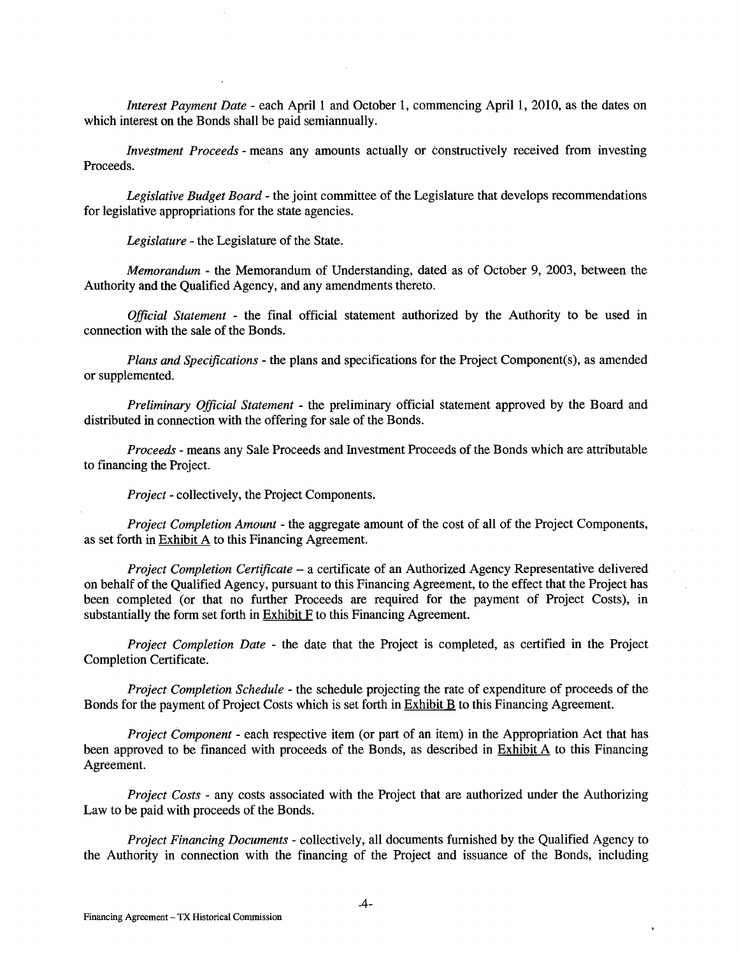*Interest Payment Date* - each April 1 and October 1, commencing April 1, 2010, as the dates on which interest on the Bonds shall be paid semiannually.

*Investment Proceeds-* means any amounts actually or constructively received from investing Proceeds.

*Legislative Budget Board* - the joint committee of the Legislature that develops recommendations for legislative appropriations for the state agencies.

*Legislature* - the Legislature of the State.

*Memorandum-* the Memorandum of Understanding, dated as of October 9, 2003, between the Authority and the Qualified Agency, and any amendments thereto.

*Official Statement* - the final official statement authorized by the Authority to be used in connection with the sale of the Bonds.

*Plans and Specifications-* the plans and specifications for the Project Component(s), as amended or supplemented.

*Preliminary Official Statement* - the preliminary official statement approved by the Board and distributed in connection with the offering for sale of the Bonds.

*Proceeds* - means any Sale Proceeds and Investment Proceeds of the Bonds which are attributable to financing the Project.

*Project-* collectively, the Project Components.

*Project Completion Amount* - the aggregate amount of the cost of all of the Project Components, as set forth in Exhibit A to this Financing Agreement.

*Project Completion Certificate* - a certificate of an Authorized Agency Representative delivered on behalf of the Qualified Agency, pursuant to this Financing Agreement, to the effect that the Project has been completed (or that no further Proceeds are required for the payment of Project Costs), in substantially the form set forth in Exhibit F to this Financing Agreement.

*Project Completion Date* - the date that the Project is completed, as certified in the Project Completion Certificate.

*Project Completion Schedule* - the schedule projecting the rate of expenditure of proceeds of the Bonds for the payment of Project Costs which is set forth in Exhibit B to this Financing Agreement.

*Project Component* - each respective item (or part of an item) in the Appropriation Act that has been approved to be financed with proceeds of the Bonds, as described in **Exhibit A** to this Financing Agreement.

*Project Costs* - any costs associated with the Project that are authorized under the Authorizing Law to be paid with proceeds of the Bonds.

*Project Financing Documents-* collectively, all documents furnished by the Qualified Agency to the Authority in connection with the financing of the Project and issuance of the Bonds, including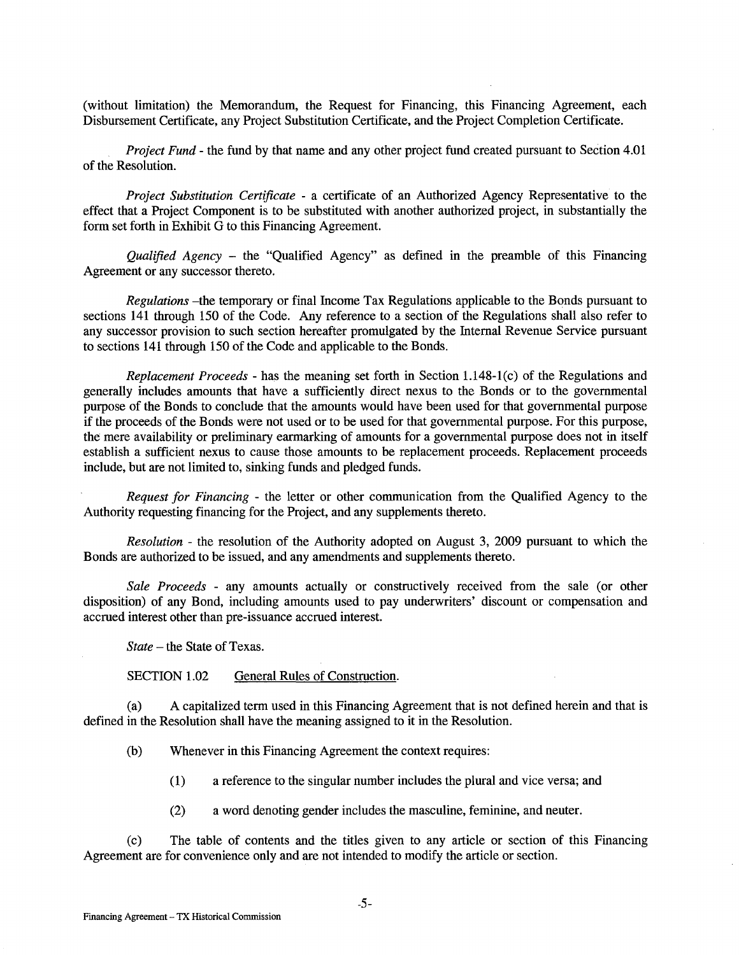(without limitation) the Memorandum, the Request for Financing, this Financing Agreement, each Disbursement Certificate, any Project Substitution Certificate, and the Project Completion Certificate.

*Project Fund-* the fund by that name and any other project fund created pursuant to Section 4.01 of the Resolution.

*Project Substitution Certificate* - a certificate of an Authorized Agency Representative to the effect that a Project Component is to be substituted with another authorized project, in substantially the form set forth in Exhibit G to this Financing Agreement.

*Qualified Agency* - the "Qualified Agency" as defined in the preamble of this Financing Agreement or any successor thereto.

*Regulations* -the temporary or final Income Tax Regulations applicable to the Bonds pursuant to sections 141 through 150 of the Code. Any reference to a section of the Regulations shall also refer to any successor provision to such section hereafter promulgated by the Internal Revenue Service pursuant to sections 141 through 150 of the Code and applicable to the Bonds.

*Replacement Proceeds* - has the meaning set forth in Section 1.148-1 (c) of the Regulations and generally includes amounts that have a sufficiently direct nexus to the Bonds or to the governmental purpose of the Bonds to conclude that the amounts would have been used for that governmental purpose if the proceeds of the Bonds were not used or to be used for that governmental purpose. For this purpose, the mere availability or preliminary earmarking of amounts for a governmental purpose does not in itself establish a sufficient nexus to cause those amounts to be replacement proceeds. Replacement proceeds include, but are not limited to, sinking funds and pledged funds.

*Request for Financing* - the letter or other communication from the Qualified Agency to the Authority requesting financing for the Project, and any supplements thereto.

*Resolution* - the resolution of the Authority adopted on August 3, 2009 pursuant to which the Bonds are authorized to be issued, and any amendments and supplements thereto.

*Sale Proceeds* - any amounts actually or constructively received from the sale (or other disposition) of any Bond, including amounts used to pay underwriters' discount or compensation and accrued interest other than pre-issuance accrued interest.

*State* – the State of Texas.

SECTION 1.02 General Rules of Construction.

(a) A capitalized term used in this Financing Agreement that is not defined herein and that is defined in the Resolution shall have the meaning assigned to it in the Resolution.

(b) Whenever in this Financing Agreement the context requires:

- (1) a reference to the singular number includes the plural and vice versa; and
- (2) a word denoting gender includes the masculine, feminine, and neuter.

(c) The table of contents and the titles given to any article or section of this Financing Agreement are for convenience only and are not intended to modify the article or section.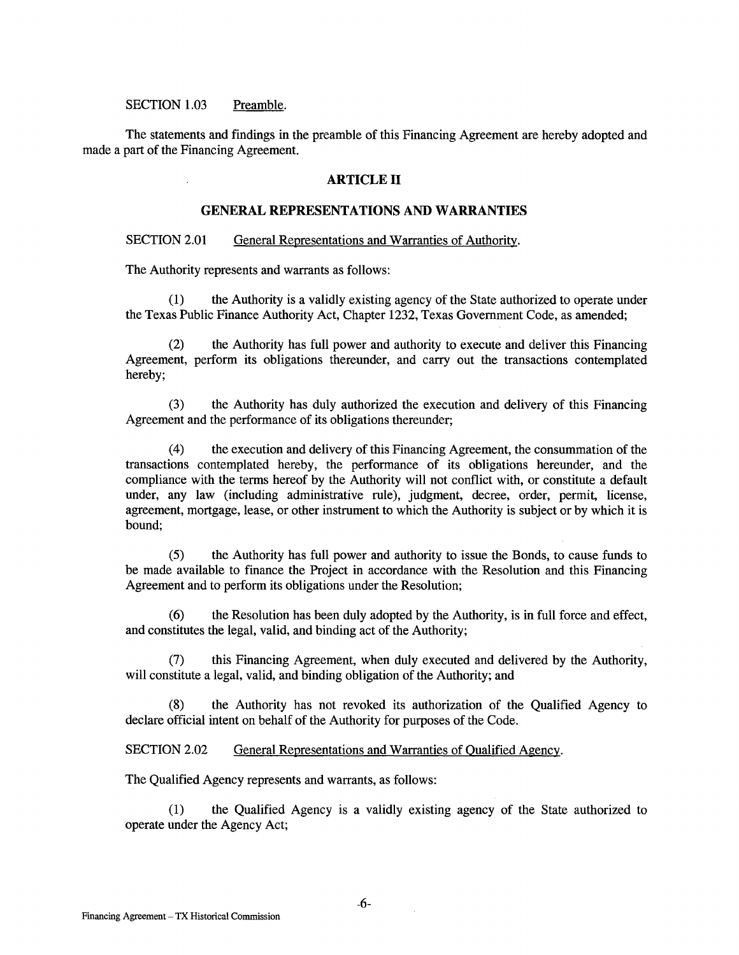#### SECTION 1.03 Preamble.

The statements and findings in the preamble of this Financing Agreement are hereby adopted and made a part of the Financing Agreement.

#### **ARTICLE II**

## **GENERAL REPRESENTATIONS AND WARRANTIES**

#### SECTION 2.01 General Representations and Warranties of Authority.

The Authority represents and warrants as follows:

(1) the Authority is a validly existing agency of the State authorized to operate under the Texas Public Finance Authority Act, Chapter 1232, Texas Government Code, as amended;

(2) the Authority has full power and authority to execute and deliver this Financing Agreement, perform its obligations thereunder, and carry out the transactions contemplated hereby;

(3) the Authority has duly authorized the execution and delivery of this Financing Agreement and the performance of its obligations thereunder;

( 4) the execution and delivery of this Financing Agreement, the consummation of the transactions contemplated hereby, the performance of its obligations hereunder, and the compliance with the terms hereof by the Authority will not conflict with, or constitute a default under, any law (including administrative rule), judgment, decree, order, permit, license, agreement, mortgage, lease, or other instrument to which the Authority is subject or by which it is bound;

(5) the Authority has full power and authority to issue the Bonds, to cause funds to be made available to finance the Project in accordance with the Resolution and this Financing Agreement and to perform its obligations under the Resolution;

(6) the Resolution has been duly adopted by the Authority, is in full force and effect, and constitutes the legal, valid, and binding act of the Authority;

(7) this Financing Agreement, when duly executed and delivered by the Authority, will constitute a legal, valid, and binding obligation of the Authority; and

(8) the Authority has not revoked its authorization of the Qualified Agency to declare official intent on behalf of the Authority for purposes of the Code.

SECTION 2.02 General Representations and Warranties of Qualified Agency.

The Qualified Agency represents and warrants, as follows:

(1) the Qualified Agency is a validly existing agency of the State authorized to operate under the Agency Act;

 $\mathcal{L}_{\mathcal{A}}$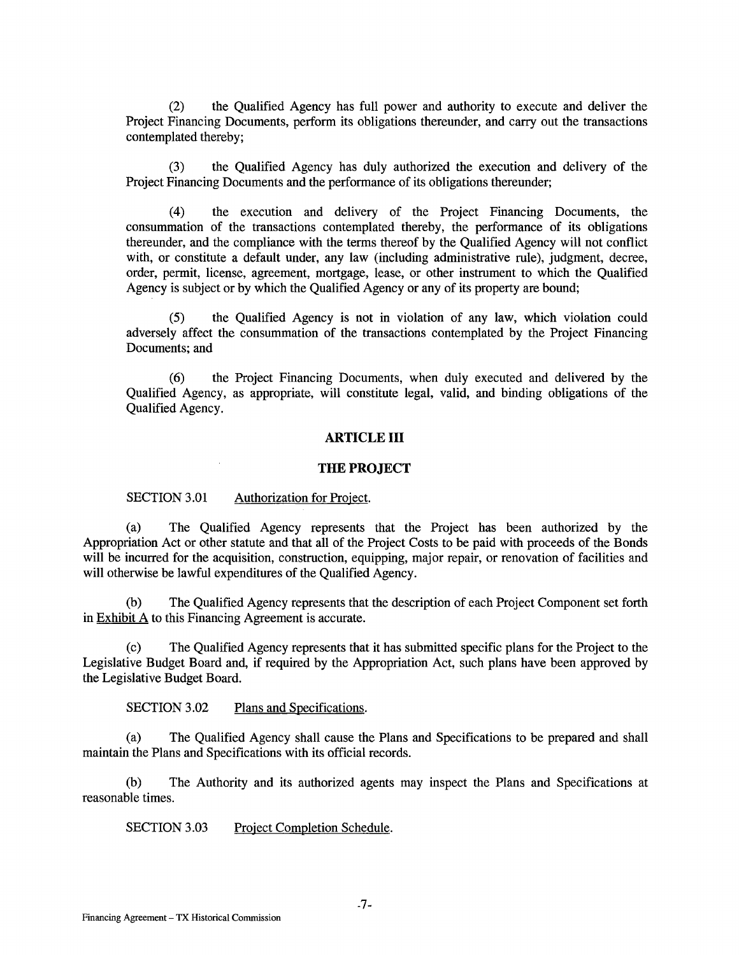(2) the Qualified Agency has full power and authority to execute and deliver the Project Financing Documents, perform its obligations thereunder, and carry out the transactions contemplated thereby;

(3) the Qualified Agency has duly authorized the execution and delivery of the Project Financing Documents and the performance of its obligations thereunder;

(4) the execution and delivery of the Project Financing Documents, the consummation of the transactions contemplated thereby, the performance of its obligations thereunder, and the compliance with the terms thereof by the Qualified Agency will not conflict with, or constitute a default under, any law (including administrative rule), judgment, decree, order, permit, license, agreement, mortgage, lease, or other instrument to which the Qualified Agency is subject or by which the Qualified Agency or any of its property are bound;

(5) the Qualified Agency is not in violation of any law, which violation could adversely affect the consummation of the transactions contemplated by the Project Financing Documents; and

(6) the Project Financing Documents, when duly executed and delivered by the Qualified Agency, as appropriate, will constitute legal, valid, and binding obligations of the Qualified Agency.

#### **ARTICLE III**

#### **THE PROJECT**

#### SECTION 3.01 Authorization for Project.

(a) The Qualified Agency represents that the Project has been authorized by the Appropriation Act or other statute and that all of the Project Costs to be paid with proceeds of the Bonds will be incurred for the acquisition, construction, equipping, major repair, or renovation of facilities and will otherwise be lawful expenditures of the Qualified Agency.

(b) The Qualified Agency represents that the description of each Project Component set forth in  $Exhibit A$  to this Financing Agreement is accurate.

(c) The Qualified Agency represents that it has submitted specific plans for the Project to the Legislative Budget Board and, if required by the Appropriation Act, such plans have been approved by the Legislative Budget Board.

SECTION 3.02 Plans and Specifications.

(a) The Qualified Agency shall cause the Plans and Specifications to be prepared and shall maintain the Plans and Specifications with its official records.

(b) The Authority and its authorized agents may inspect the Plans and Specifications at reasonable times.

SECTION 3.03 Project Completion Schedule.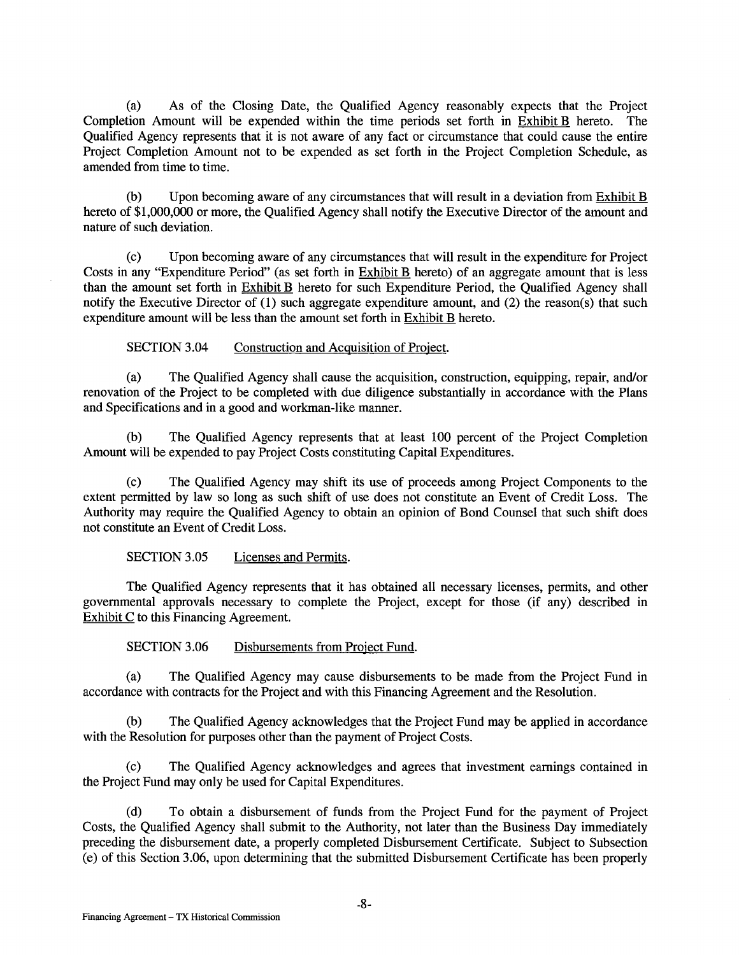(a) As of the Closing Date, the Qualified Agency reasonably expects that the Project Completion Amount will be expended within the time periods set forth in Exhibit B hereto. The Qualified Agency represents that it is not aware of any fact or circumstance that could cause the entire Project Completion Amount not to be expended as set forth in the Project Completion Schedule, as amended from time to time.

(b) Upon becoming aware of any circumstances that will result in a deviation from Exhibit B hereto of \$1,000,000 or more, the Qualified Agency shall notify the Executive Director of the amount and nature of such deviation.

(c) Upon becoming aware of any circumstances that will result in the expenditure for Project Costs in any "Expenditure Period" (as set forth in Exhibit B hereto) of an aggregate amount that is less than the amount set forth in Exhibit B hereto for such Expenditure Period, the Qualified Agency shall notify the Executive Director of (1) such aggregate expenditure amount, and (2) the reason(s) that such expenditure amount will be less than the amount set forth in Exhibit B hereto.

SECTION 3.04 Construction and Acquisition of Project.

(a) The Qualified Agency shall cause the acquisition, construction, equipping, repair, and/or renovation of the Project to be completed with due diligence substantially in accordance with the Plans and Specifications and in a good and workman-like manner.

(b) The Qualified Agency represents that at least 100 percent of the Project Completion Amount will be expended to pay Project Costs constituting Capital Expenditures.

(c) The Qualified Agency may shift its use of proceeds among Project Components to the extent permitted by law so long as such shift of use does not constitute an Event of Credit Loss. The Authority may require the Qualified Agency to obtain an opinion of Bond Counsel that such shift does not constitute an Event of Credit Loss.

SECTION 3.05 Licenses and Permits.

The Qualified Agency represents that it has obtained all necessary licenses, permits, and other governmental approvals necessary to complete the Project, except for those (if any) described in Exhibit C to this Financing Agreement.

SECTION 3.06 Disbursements from Project Fund.

(a) The Qualified Agency may cause disbursements to be made from the Project Fund in accordance with contracts for the Project and with this Financing Agreement and the Resolution.

(b) The Qualified Agency acknowledges that the Project Fund may be applied in accordance with the Resolution for purposes other than the payment of Project Costs.

(c) The Qualified Agency acknowledges and agrees that investment earnings contained in the Project Fund may only be used for Capital Expenditures.

(d) To obtain a disbursement of funds from the Project Fund for the payment of Project Costs, the Qualified Agency shall submit to the Authority, not later than the Business Day immediately preceding the disbursement date, a properly completed Disbursement Certificate. Subject to Subsection (e) of this Section 3.06, upon determining that the submitted Disbursement Certificate has been properly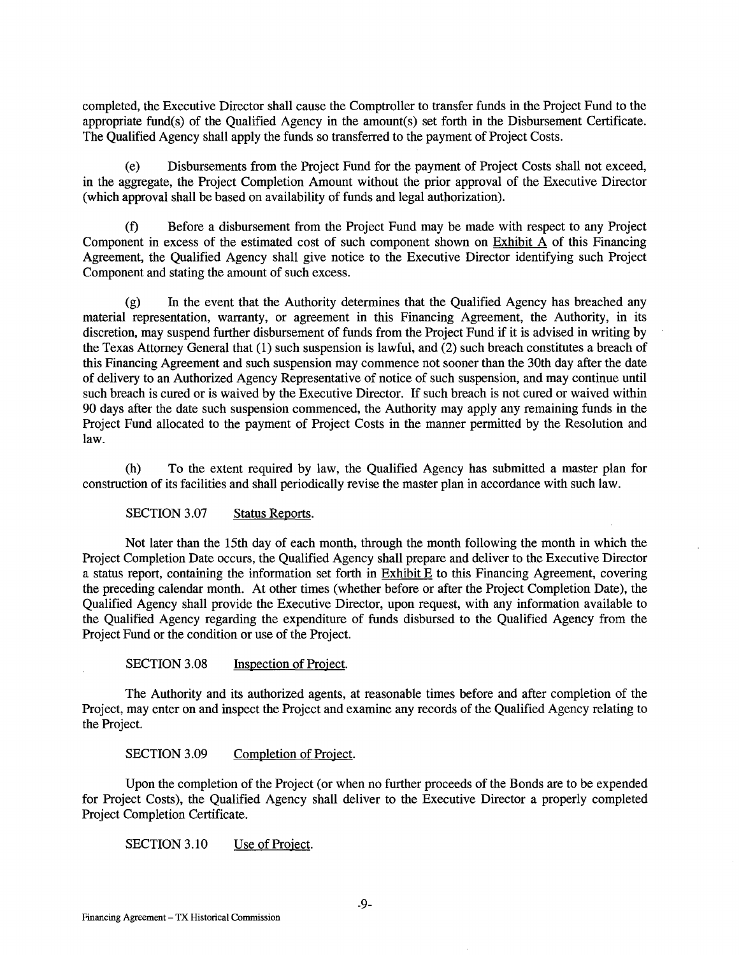completed, the Executive Director shall cause the Comptroller to transfer funds in the Project Fund to the appropriate fund(s) of the Qualified Agency in the amount(s) set forth in the Disbursement Certificate. The Qualified Agency shall apply the funds so transferred to the payment of Project Costs.

(e) Disbursements from the Project Fund for the payment of Project Costs shall not exceed, in the aggregate, the Project Completion Amount without the prior approval of the Executive Director (which approval shall be based on availability of funds and legal authorization).

(f) Before a disbursement from the Project Fund may be made with respect to any Project Component in excess of the estimated cost of such component shown on  $Exhibit A$  of this Financing Agreement, the Qualified Agency shall give notice to the Executive Director identifying such Project Component and stating the amount of such excess.

(g) In the event that the Authority determines that the Qualified Agency has breached any material representation, warranty, or agreement in this Financing Agreement, the Authority, in its discretion, may suspend further disbursement of funds from the Project Fund if it is advised in writing by the Texas Attorney General that (1) such suspension is lawful, and (2) such breach constitutes a breach of this Financing Agreement and such suspension may commence not sooner than the 30th day after the date of delivery to an Authorized Agency Representative of notice of such suspension, and may continue until such breach is cured or is waived by the Executive Director. If such breach is not cured or waived within 90 days after the date such suspension commenced, the Authority may apply any remaining funds in the Project Fund allocated to the payment of Project Costs in the manner permitted by the Resolution and law.

(h) To the extent required by law, the Qualified Agency has submitted a master plan for construction of its facilities and shall periodically revise the master plan in accordance with such law.

SECTION 3.07 Status Reports.

Not later than the 15th day of each month, through the month following the month in which the Project Completion Date occurs, the Qualified Agency shall prepare and deliver to the Executive Director a status report, containing the information set forth in Exhibit E to this Financing Agreement, covering the preceding calendar month. At other times (whether before or after the Project Completion Date), the Qualified Agency shall provide the Executive Director, upon request, with any information available to the Qualified Agency regarding the expenditure of funds disbursed to the Qualified Agency from the Project Fund or the condition or use of the Project.

SECTION 3.08 Inspection of Project.

The Authority and its authorized agents, at reasonable times before and after completion of the Project, may enter on and inspect the Project and examine any records of the Qualified Agency relating to the Project.

SECTION 3.09 Completion of Project.

Upon the completion of the Project (or when no further proceeds of the Bonds are to be expended for Project Costs), the Qualified Agency shall deliver to the Executive Director a properly completed Project Completion Certificate.

SECTION 3.10 Use of Project.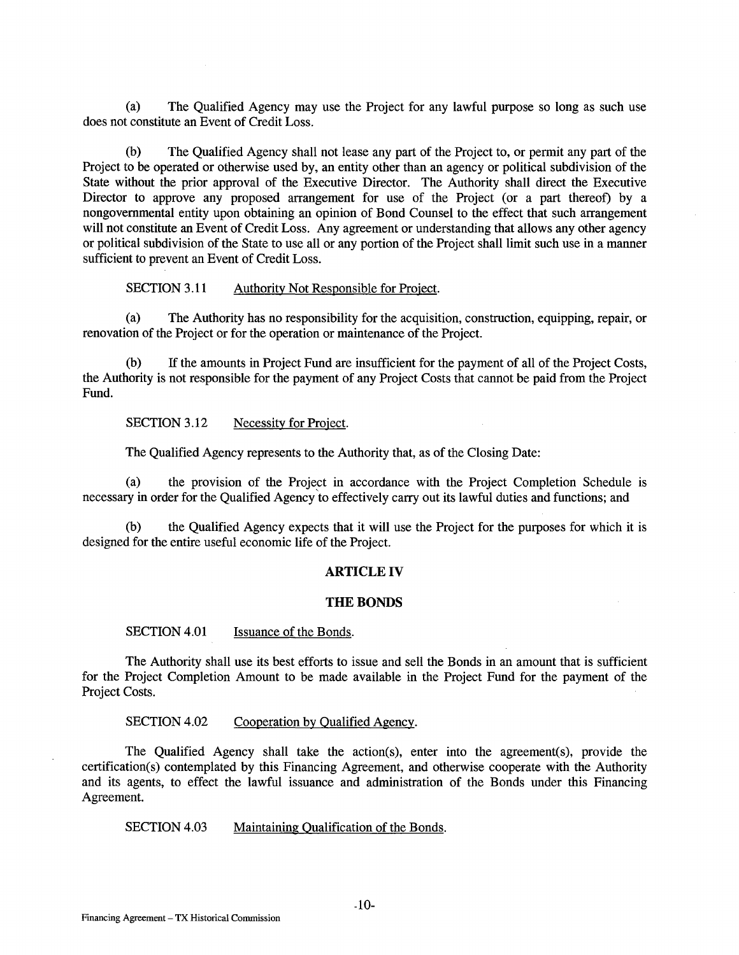(a) The Qualified Agency may use the Project for any lawful purpose so long as such use does not constitute an Event of Credit Loss.

(b) The Qualified Agency shall not lease any part of the Project to, or permit any part of the Project to be operated or otherwise used by, an entity other than an agency or political subdivision of the State without the prior approval of the Executive Director. The Authority shall direct the Executive Director to approve any proposed arrangement for use of the Project (or a part thereof) by a nongovernmental entity upon obtaining an opinion of Bond Counsel to the effect that such arrangement will not constitute an Event of Credit Loss. Any agreement or understanding that allows any other agency or political subdivision of the State to use all or any portion of the Project shall limit such use in a manner sufficient to prevent an Event of Credit Loss.

SECTION 3.11 Authority Not Responsible for Project.

(a) The Authority has no responsibility for the acquisition, construction, equipping, repair, or renovation of the Project or for the operation or maintenance of the Project.

(b) If the amounts in Project Fund are insufficient for the payment of all of the Project Costs, the Authority is not responsible for the payment of any Project Costs that cannot be paid from the Project Fund.

SECTION 3.12 Necessity for Project.

The Qualified Agency represents to the Authority that, as of the Closing Date:

(a) the provision of the Project in accordance with the Project Completion Schedule is necessary in order for the Qualified Agency to effectively carry out its lawful duties and functions; and

(b) the Qualified Agency expects that it will use the Project for the purposes for which it is designed for the entire useful economic life of the Project.

#### **ARTICLE IV**

#### **THE BONDS**

SECTION 4.01 Issuance of the Bonds.

The Authority shall use its best efforts to issue and sell the Bonds in an amount that is sufficient for the Project Completion Amount to be made available in the Project Fund for the payment of the Project Costs.

SECTION 4.02 Cooperation by Qualified Agency.

The Qualified Agency shall take the action(s), enter into the agreement(s), provide the certification(s) contemplated by this Financing Agreement, and otherwise cooperate with the Authority and its agents, to effect the lawful issuance and administration of the Bonds under this Financing Agreement.

SECTION 4.03 Maintaining Qualification of the Bonds.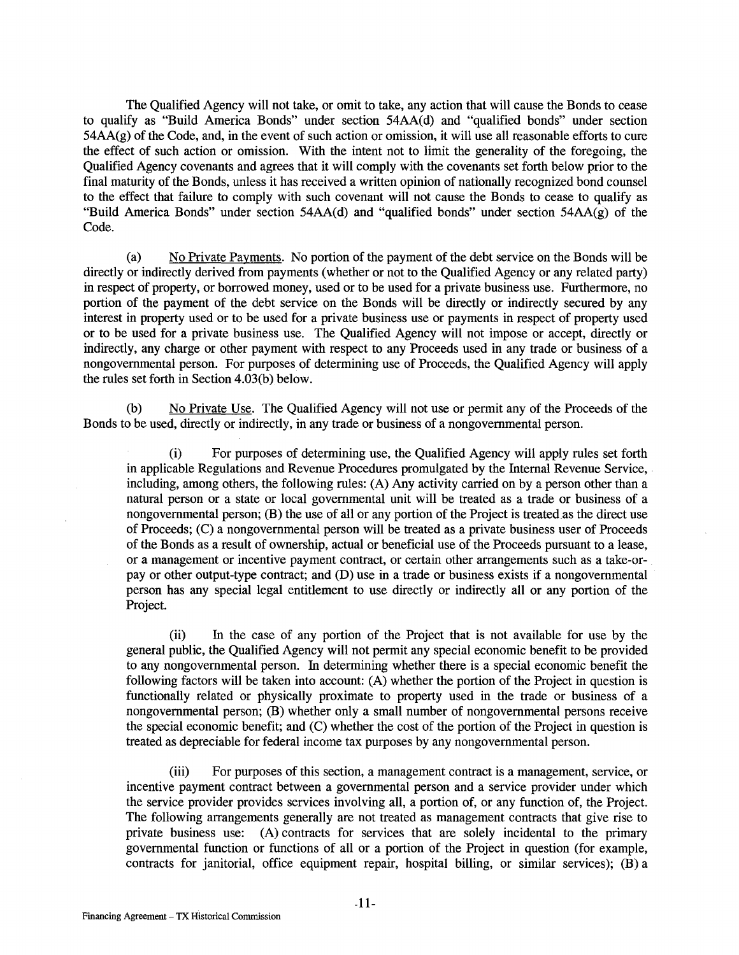The Qualified Agency will not take, or omit to take, any action that will cause the Bonds to cease to qualify as "Build America Bonds" under section 54AA(d) and "qualified bonds" under section 54AA(g) of the Code, and, in the event of such action or omission, it will use all reasonable efforts to cure the effect of such action or omission. With the intent not to limit the generality of the foregoing, the Qualified Agency covenants and agrees that it will comply with the covenants set forth below prior to the final maturity of the Bonds, unless it has received a written opinion of nationally recognized bond counsel to the effect that failure to comply with such covenant will not cause the Bonds to cease to qualify as "Build America Bonds" under section 54AA(d) and "qualified bonds" under section 54AA(g) of the Code.

(a) No Private Payments. No portion of the payment of the debt service on the Bonds will be directly or indirectly derived from payments (whether or not to the Qualified Agency or any related party) in respect of property, or borrowed money, used or to be used for a private business use. Furthermore, no portion of the payment of the debt service on the Bonds will be directly or indirectly secured by any interest in property used or to be used for a private business use or payments in respect of property used or to be used for a private business use. The Qualified Agency will not impose or accept, directly or indirectly, any charge or other payment with respect to any Proceeds used in any trade or business of a nongovernmental person. For purposes of determining use of Proceeds, the Qualified Agency will apply the rules set forth in Section 4.03(b) below.

(b) No Private Use. The Qualified Agency will not use or permit any of the Proceeds of the Bonds to be used, directly or indirectly, in any trade or business of a nongovernmental person.

(i) For purposes of determining use, the Qualified Agency will apply rules set forth in applicable Regulations and Revenue Procedures promulgated by the Internal Revenue Service, including, among others, the following rules: (A) Any activity carried on by a person other than a natural person or a state or local governmental unit will be treated as a trade or business of a nongovernmental person; (B) the use of all or any portion of the Project is treated as the direct use of Proceeds; (C) a nongovernmental person will be treated as a private business user of Proceeds of the Bonds as a result of ownership, actual or beneficial use of the Proceeds pursuant to a lease, or a management or incentive payment contract, or certain other arrangements such as a take-orpay or other output-type contract; and (D) use in a trade or business exists if a nongovernmental person has any special legal entitlement to use directly or indirectly all or any portion of the Project.

(ii) In the case of any portion of the Project that is not available for use by the general public, the Qualified Agency will not permit any special economic benefit to be provided to any nongovernmental person. In determining whether there is a special economic benefit the following factors will be taken into account: (A) whether the portion of the Project in question is functionally related or physically proximate to property used in the trade or business of a nongovernmental person; (B) whether only a small number of nongovernmental persons receive the special economic benefit; and (C) whether the cost of the portion of the Project in question is treated as depreciable for federal income tax purposes by any nongovernmental person.

(iii) For purposes of this section, a management contract is a management, service, or incentive payment contract between a governmental person and a service provider under which the service provider provides services involving all, a portion of, or any function of, the Project. The following arrangements generally are not treated as management contracts that give rise to private business use: (A) contracts for services that are solely incidental to the primary governmental function or functions of all or a portion of the Project in question (for example, contracts for janitorial, office equipment repair, hospital billing, or similar services); (B) a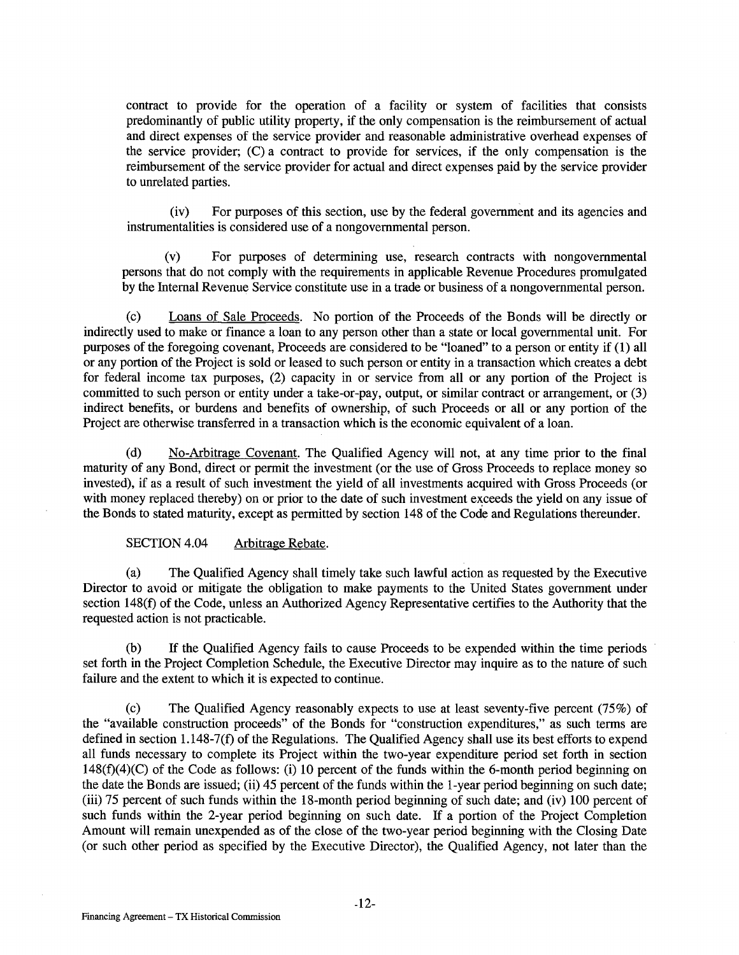contract to provide for the operation of a facility or system of facilities that consists predominantly of public utility property, if the only compensation is the reimbursement of actual and direct expenses of the service provider and reasonable administrative overhead expenses of the service provider; (C) a contract to provide for services, if the only compensation is the reimbursement of the service provider for actual and direct expenses paid by the service provider to unrelated parties.

(iv) For purposes of this section, use by the federal government and its agencies and instrumentalities is considered use of a nongovernmental person.

(v) For purposes of determining use, research contracts with nongovernmental persons that do not comply with the requirements in applicable Revenue Procedures promulgated by the Internal Revenue Service constitute use in a trade or business of a nongovernmental person.

(c) Loans of Sale Proceeds. No portion of the Proceeds of the Bonds will be directly or indirectly used to make or finance a loan to any person other than a state or local governmental unit. For purposes of the foregoing covenant, Proceeds are considered to be "loaned" to a person or entity if (1) all or any portion of the Project is sold or leased to such person or entity in a transaction which creates a debt for federal income tax purposes, (2) capacity in or service from all or any portion of the Project is committed to such person or entity under a take-or-pay, output, or similar contract or arrangement, or (3) indirect benefits, or burdens and benefits of ownership, of such Proceeds or all or any portion of the Project are otherwise transferred in a transaction which is the economic equivalent of a loan.

(d) No-Arbitrage Covenant. The Qualified Agency will not, at any time prior to the final maturity of any Bond, direct or permit the investment (or the use of Gross Proceeds to replace money so invested), if as a result of such investment the yield of all investments acquired with Gross Proceeds (or with money replaced thereby) on or prior to the date of such investment exceeds the yield on any issue of the Bonds to stated maturity, except as permitted by section 148 of the Code and Regulations thereunder.

#### SECTION 4.04 Arbitrage Rebate.

(a) The Qualified Agency shall timely take such lawful action as requested by the Executive Director to avoid or mitigate the obligation to make payments to the United States government under section 148(f) of the Code, unless an Authorized Agency Representative certifies to the Authority that the requested action is not practicable.

(b) If the Qualified Agency fails to cause Proceeds to be expended within the time periods set forth in the Project Completion Schedule, the Executive Director may inquire as to the nature of such failure and the extent to which it is expected to continue.

(c) The Qualified Agency reasonably expects to use at least seventy-five percent (75%) of the "available construction proceeds" of the Bonds for "construction expenditures," as such terms are defined in section 1.148-7(f) of the Regulations. The Qualified Agency shall use its best efforts to expend all funds necessary to complete its Project within the two-year expenditure period set forth in section 148(f)(4)(C) of the Code as follows: (i) 10 percent of the funds within the 6-month period beginning on the date the Bonds are issued; (ii) 45 percent of the funds within the 1-year period beginning on such date; (iii) 75 percent of such funds within the 18-month period beginning of such date; and (iv) 100 percent of such funds within the 2-year period beginning on such date. If a portion of the Project Completion Amount will remain unexpended as of the close of the two-year period beginning with the Closing Date (or such other period as specified by the Executive Director), the Qualified Agency, not later than the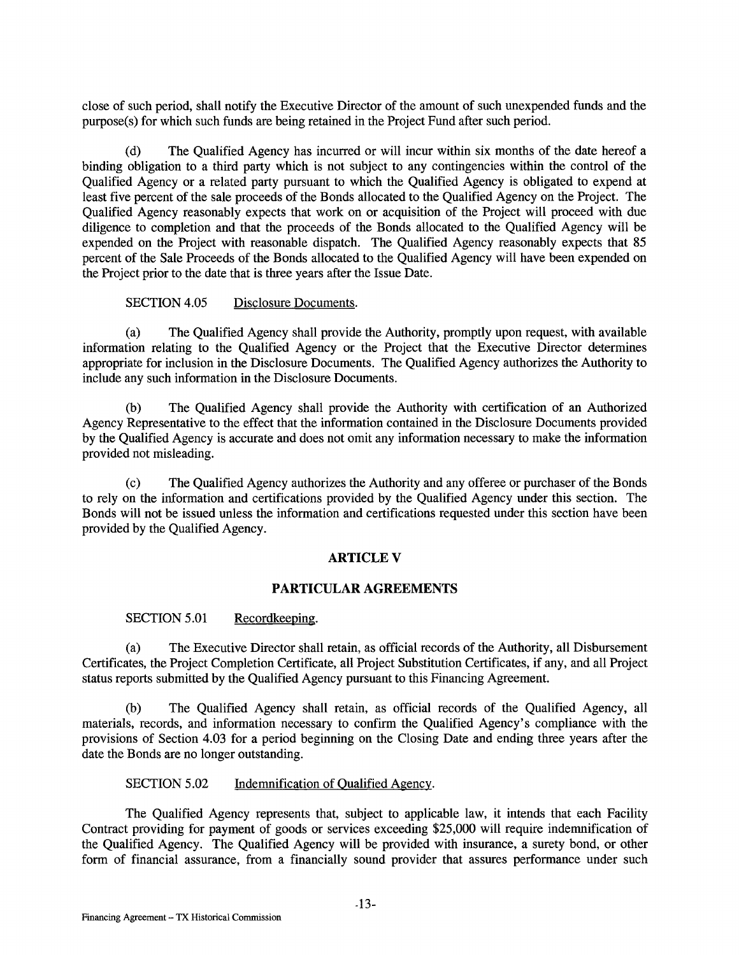close of such period, shall notify the Executive Director of the amount of such unexpended funds and the purpose(s) for which such funds are being retained in the Project Fund after such period.

(d) The Qualified Agency has incurred or will incur within six months of the date hereof a binding obligation to a third party which is not subject to any contingencies within the control of the Qualified Agency or a related party pursuant to which the Qualified Agency is obligated to expend at least five percent of the sale proceeds of the Bonds allocated to the Qualified Agency on the Project. The Qualified Agency reasonably expects that work on or acquisition of the Project will proceed with due diligence to completion and that the proceeds of the Bonds allocated to the Qualified Agency will be expended on the Project with reasonable dispatch. The Qualified Agency reasonably expects that 85 percent of the Sale Proceeds of the Bonds allocated to the Qualified Agency will have been expended on the Project prior to the date that is three years after the Issue Date.

## SECTION 4.05 Disclosure Documents.

(a) The Qualified Agency shall provide the Authority, promptly upon request, with available information relating to the Qualified Agency or the Project that the Executive Director determines appropriate for inclusion in the Disclosure Documents. The Qualified Agency authorizes the Authority to include any such information in the Disclosure Documents.

(b) The Qualified Agency shall provide the Authority with certification of an Authorized Agency Representative to the effect that the information contained in the Disclosure Documents provided by the Qualified Agency is accurate and does not omit any information necessary to make the information provided not misleading.

(c) The Qualified Agency authorizes the Authority and any offeree or purchaser of the Bonds to rely on the information and certifications provided by the Qualified Agency under this section. The Bonds will not be issued unless the information and certifications requested under this section have been provided by the Qualified Agency.

#### **ARTICLEV**

#### **PARTICULAR AGREEMENTS**

SECTION 5.01 Recordkeeping.

(a) The Executive Director shall retain, as official records of the Authority, all Disbursement Certificates, the Project Completion Certificate, all Project Substitution Certificates, if any, and all Project status reports submitted by the Qualified Agency pursuant to this Financing Agreement.

(b) The Qualified Agency shall retain, as official records of the Qualified Agency, all materials, records, and information necessary to confirm the Qualified Agency's compliance with the provisions of Section 4.03 for a period beginning on the Closing Date and ending three years after the date the Bonds are no longer outstanding.

SECTION 5.02 Indemnification of Qualified Agency.

The Qualified Agency represents that, subject to applicable law, it intends that each Facility Contract providing for payment of goods or services exceeding \$25,000 will require indemnification of the Qualified Agency. The Qualified Agency will be provided with insurance, a surety bond, or other form of financial assurance, from a financially sound provider that assures performance under such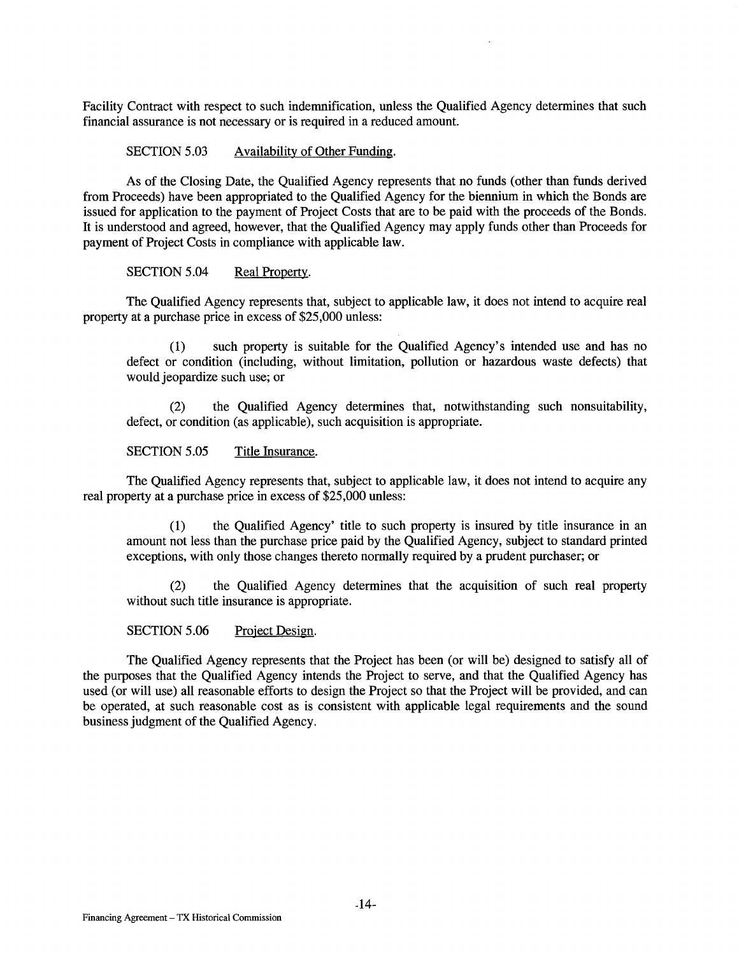Facility Contract with respect to such indemnification, unless the Qualified Agency determines that such financial assurance is not necessary or is required in a reduced amount.

SECTION 5.03 Availability of Other Funding.

As of the Closing Date, the Qualified Agency represents that no funds (other than funds derived from Proceeds) have been appropriated to the Qualified Agency for the biennium in which the Bonds are issued for application to the payment of Project Costs that are to be paid with the proceeds of the Bonds. It is understood and agreed, however, that the Qualified Agency may apply funds other than Proceeds for payment of Project Costs in compliance with applicable law.

SECTION 5.04 Real Property.

The Qualified Agency represents that, subject to applicable law, it does not intend to acquire real property at a purchase price in excess of \$25,000 unless:

(1) such property is suitable for the Qualified Agency's intended use and has no defect or condition (including, without limitation, pollution or hazardous waste defects) that would jeopardize such use; or

(2) the Qualified Agency determines that, notwithstanding such nonsuitability, defect, or condition (as applicable), such acquisition is appropriate.

SECTION 5.05 Title Insurance.

The Qualified Agency represents that, subject to applicable law, it does not intend to acquire any real property at a purchase price in excess of \$25,000 unless:

(1) the Qualified Agency' title to such property is insured by title insurance in an amount not less than the purchase price paid by the Qualified Agency, subject to standard printed exceptions, with only those changes thereto normally required by a prudent purchaser; or

the Qualified Agency determines that the acquisition of such real property without such title insurance is appropriate.

SECTION 5.06 Project Design.

The Qualified Agency represents that the Project has been (or will be) designed to satisfy all of the purposes that the Qualified Agency intends the Project to serve, and that the Qualified Agency has used (or will use) all reasonable efforts to design the Project so that the Project will be provided, and can be operated, at such reasonable cost as is consistent with applicable legal requirements and the sound business judgment of the Qualified Agency.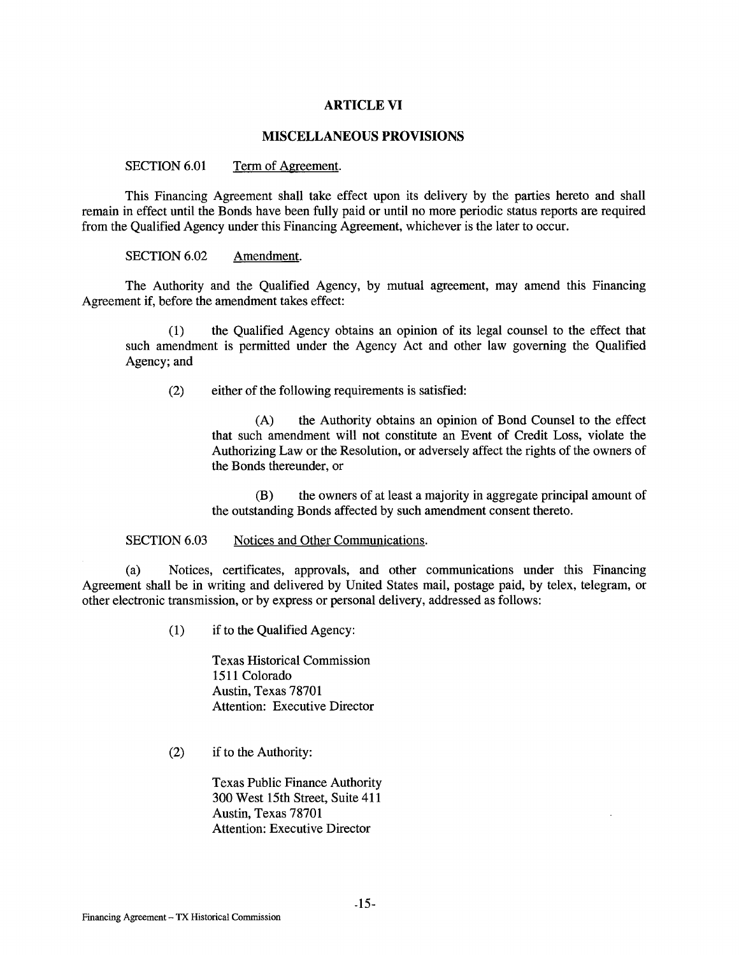#### **ARTICLE VI**

## **MISCELLANEOUS PROVISIONS**

#### SECTION 6.01 Term of Agreement.

This Financing Agreement shall take effect upon its delivery by the parties hereto and shall remain in effect until the Bonds have been fully paid or until no more periodic status reports are required from the Qualified Agency under this Financing Agreement, whichever is the later to occur.

SECTION 6.02 Amendment.

The Authority and the Qualified Agency, by mutual agreement, may amend this Financing Agreement if, before the amendment takes effect:

(1) the Qualified Agency obtains an opinion of its legal counsel to the effect that such amendment is permitted under the Agency Act and other law governing the Qualified Agency; and

(2) either of the following requirements is satisfied:

(A) the Authority obtains an opinion of Bond Counsel to the effect that such amendment will not constitute an Event of Credit Loss, violate the Authorizing Law or the Resolution, or adversely affect the rights of the owners of the Bonds thereunder, or

(B) the owners of at least a majority in aggregate principal amount of the outstanding Bonds affected by such amendment consent thereto.

#### SECTION 6.03 Notices and Other Communications.

(a) Notices, certificates, approvals, and other communications under this Financing Agreement shall be in writing and delivered by United States mail, postage paid, by telex, telegram, or other electronic transmission, or by express or personal delivery, addressed as follows:

(1) if to the Qualified Agency:

Texas Historical Commission 1511 Colorado Austin, Texas 78701 Attention: Executive Director

(2) if to the Authority:

Texas Public Finance Authority 300 West 15th Street, Suite 411 Austin, Texas 78701 Attention: Executive Director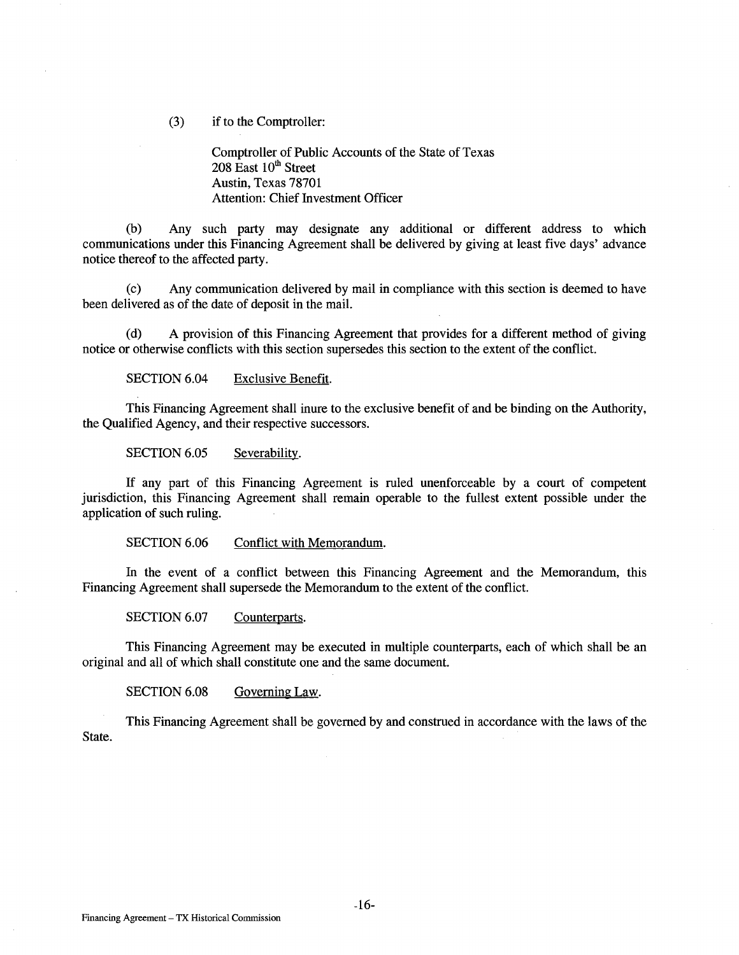(3) if to the Comptroller:

Comptroller of Public Accounts of the State of Texas  $208$  East  $10<sup>th</sup>$  Street Austin, Texas 78701 Attention: Chief Investment Officer

(b) Any such party may designate any additional or different address to which communications under this Financing Agreement shall be delivered by giving at least five days' advance notice thereof to the affected party.

(c) Any communication delivered by mail in compliance with this section is deemed to have been delivered as of the date of deposit in the mail.

(d) A provision of this Financing Agreement that provides for a different method of giving notice or otherwise conflicts with this section supersedes this section to the extent of the conflict.

SECTION 6.04 Exclusive Benefit.

This Financing Agreement shall inure to the exclusive benefit of and be binding on the Authority, the Qualified Agency, and their respective successors.

SECTION 6.05 Severability.

If any part of this Financing Agreement is ruled unenforceable by a court of competent jurisdiction, this Financing Agreement shall remain operable to the fullest extent possible under the application of such ruling.

SECTION 6.06 Conflict with Memorandum.

In the event of a conflict between this Financing Agreement and the Memorandum, this Financing Agreement shall supersede the Memorandum to the extent of the conflict.

SECTION 6.07 Counterparts.

This Financing Agreement may be executed in multiple counterparts, each of which shall be an original and all of which shall constitute one and the same document.

SECTION 6.08 Governing Law.

This Financing Agreement shall be governed by and construed in accordance with the laws of the State.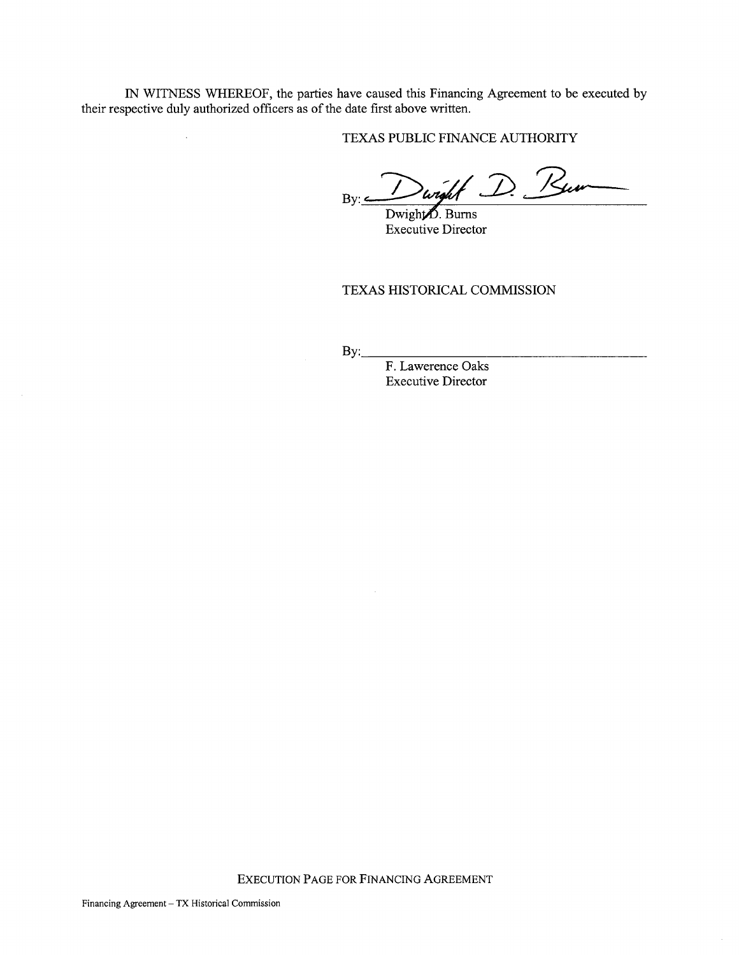IN WITNESS WHEREOF, the parties have caused this Financing Agreement to be executed by their respective duly authorized officers as of the date first above written.

TEXAS PUBLIC FINANCE AUTHORITY

 $By:$  Dwight D. Burn

Dwight  $\overline{D}$ . Burns Executive Director

TEXAS HISTORICAL COMMISSION

By: F. Lawerence Oaks Executive Director

EXECUTION PAGE FOR FINANCING AGREEMENT

 $\ddot{\phantom{0}}$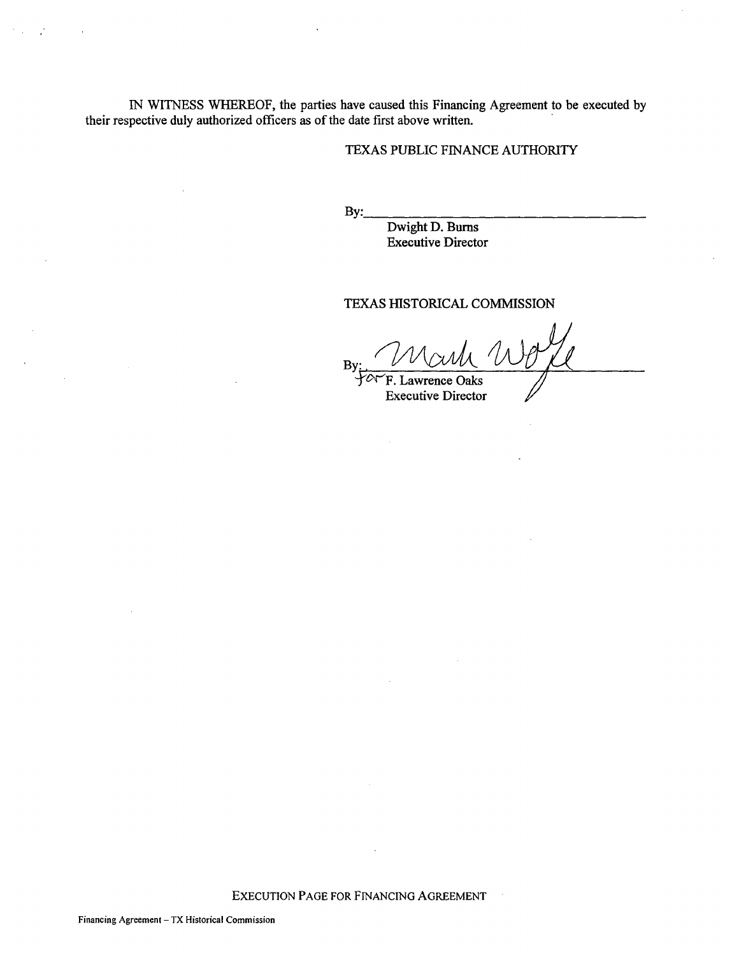IN WITNESS WHEREOF, the parties have caused this Financing Agreement to be executed by their respective duly authorized officers as of the date first above written.

## TEXAS PUBLIC FINANCE AUTHORITY

By: \_\_\_\_\_\_\_\_\_\_\_\_\_\_ \_

Dwight D. Burns Executive Director

## TEXAS HISTORICAL COMMISSION

By: U WULL<br>FA F. Lawrence Oaks

Executive Director

EXECUTION PAGE FOR FINANCING AGREEMENT

 $\bar{\bar{z}}$ 

 $\mathcal{F}_{\text{max}}$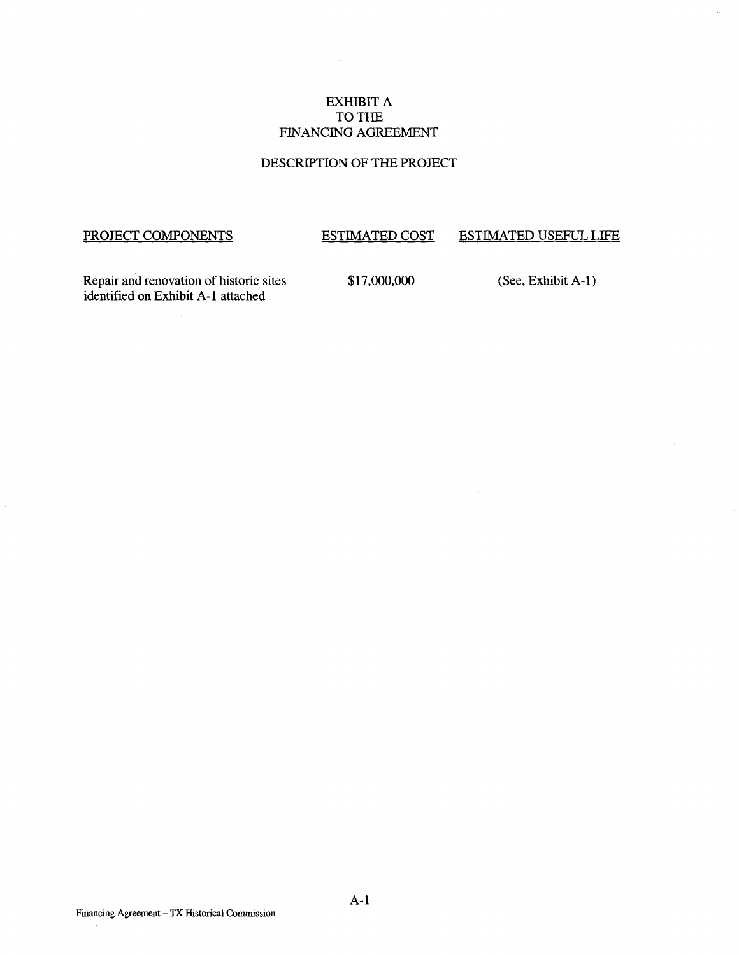# EXHIBIT A TO THE FINANCING AGREEMENT

## DESCRIPTION OF THE PROJECT

# PROJECT COMPONENTS

 $\hat{\boldsymbol{\cdot}$ 

# ESTIMATED COST

# ESTIMATED USEFUL LIFE

 $\bar{\mathcal{A}}$ 

Repair and renovation of historic sites identified on Exhibit A-1 attached

\$17,000,000

(See, Exhibit A-1)

 $\ddot{\phantom{a}}$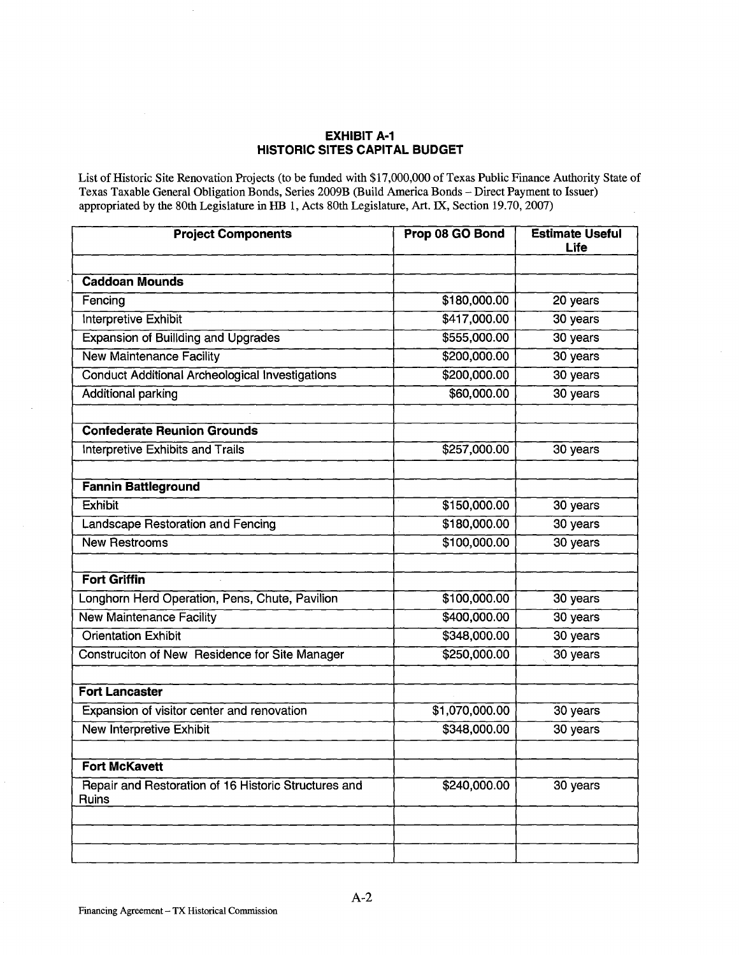## **EXHIBIT A-1 HISTORIC SITES CAPITAL BUDGET**

List of Historic Site Renovation Projects (to be funded with \$17,000,000 of Texas Public Finance Authority State of Texas Taxable General Obligation Bonds, Series 2009B (Build America Bonds- Direct Payment to Issuer) appropriated by the 80th Legislature in HB 1, Acts 80th Legislature, Art. IX, Section 19.70, 2007) Ù.

| <b>Project Components</b>                                     | Prop 08 GO Bond | <b>Estimate Useful</b><br>Life |
|---------------------------------------------------------------|-----------------|--------------------------------|
|                                                               |                 |                                |
| <b>Caddoan Mounds</b>                                         |                 |                                |
| Fencing                                                       | \$180,000.00    | 20 years                       |
| Interpretive Exhibit                                          | \$417,000.00    | 30 years                       |
| <b>Expansion of Buillding and Upgrades</b>                    | \$555,000.00    | 30 years                       |
| <b>New Maintenance Facility</b>                               | \$200,000.00    | 30 years                       |
| <b>Conduct Additional Archeological Investigations</b>        | \$200,000.00    | 30 years                       |
| <b>Additional parking</b>                                     | \$60,000.00     | 30 years                       |
| <b>Confederate Reunion Grounds</b>                            |                 |                                |
| <b>Interpretive Exhibits and Trails</b>                       | \$257,000.00    | 30 years                       |
| <b>Fannin Battleground</b>                                    |                 |                                |
| <b>Exhibit</b>                                                | \$150,000.00    | 30 years                       |
| <b>Landscape Restoration and Fencing</b>                      | \$180,000.00    | 30 years                       |
| <b>New Restrooms</b>                                          | \$100,000.00    | 30 years                       |
| <b>Fort Griffin</b>                                           |                 |                                |
| Longhorn Herd Operation, Pens, Chute, Pavilion                | \$100,000.00    | 30 years                       |
| <b>New Maintenance Facility</b>                               | \$400,000.00    | 30 years                       |
| <b>Orientation Exhibit</b>                                    | \$348,000.00    | 30 years                       |
| Construciton of New Residence for Site Manager                | \$250,000.00    | 30 years                       |
| <b>Fort Lancaster</b>                                         |                 |                                |
| Expansion of visitor center and renovation                    | \$1,070,000.00  | 30 years                       |
| <b>New Interpretive Exhibit</b>                               | \$348,000.00    | 30 years                       |
| <b>Fort McKavett</b>                                          |                 |                                |
| Repair and Restoration of 16 Historic Structures and<br>Ruins | \$240,000.00    | 30 years                       |
|                                                               |                 |                                |
|                                                               |                 |                                |
|                                                               |                 |                                |

 $\ddot{\phantom{a}}$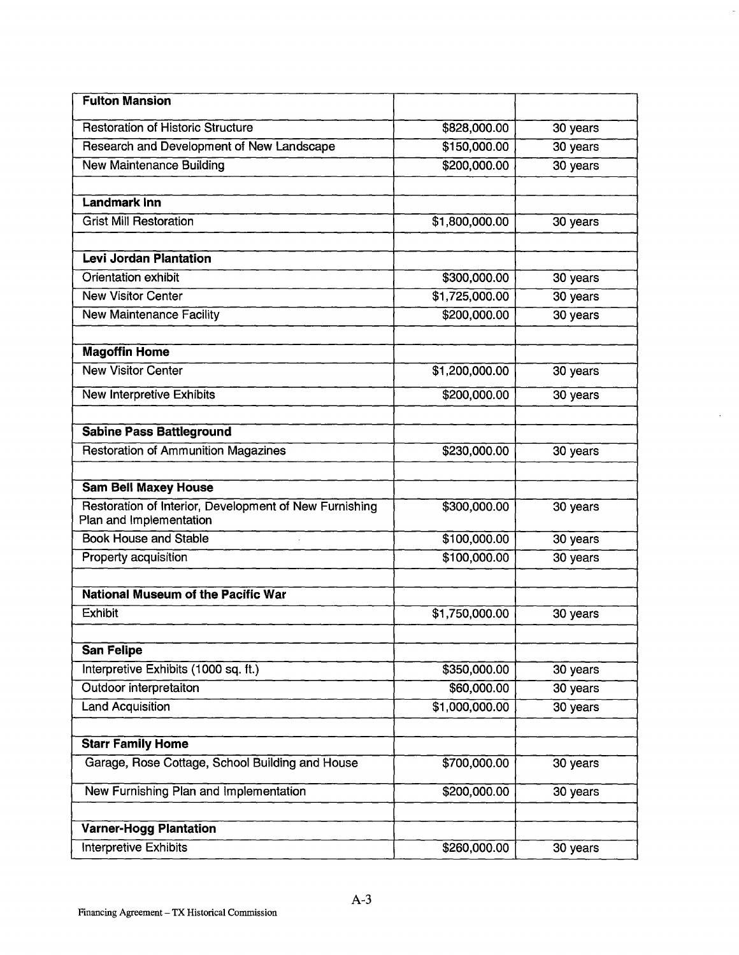| <b>Fulton Mansion</b>                                                             |                |            |
|-----------------------------------------------------------------------------------|----------------|------------|
| <b>Restoration of Historic Structure</b>                                          | \$828,000.00   | 30 years   |
| Research and Development of New Landscape                                         | \$150,000.00   | 30 years   |
| <b>New Maintenance Building</b>                                                   | \$200,000.00   | 30 years   |
| <b>Landmark Inn</b>                                                               |                |            |
| <b>Grist Mill Restoration</b>                                                     | \$1,800,000.00 | 30 years   |
|                                                                                   |                |            |
| <b>Levi Jordan Plantation</b>                                                     |                |            |
| Orientation exhibit                                                               | \$300,000.00   | 30 years   |
| <b>New Visitor Center</b>                                                         | \$1,725,000.00 | 30 years   |
| <b>New Maintenance Facility</b>                                                   | \$200,000.00   | 30 years   |
| <b>Magoffin Home</b>                                                              |                |            |
| <b>New Visitor Center</b>                                                         | \$1,200,000.00 | 30 years   |
|                                                                                   |                |            |
| New Interpretive Exhibits                                                         | \$200,000.00   | 30 years   |
| <b>Sabine Pass Battleground</b>                                                   |                |            |
| <b>Restoration of Ammunition Magazines</b>                                        | \$230,000.00   | 30 years   |
|                                                                                   |                |            |
| <b>Sam Bell Maxey House</b>                                                       |                |            |
| Restoration of Interior, Development of New Furnishing<br>Plan and Implementation | \$300,000.00   | 30 years   |
| <b>Book House and Stable</b>                                                      | \$100,000.00   | 30 years   |
| Property acquisition                                                              | \$100,000.00   | 30 years   |
| <b>National Museum of the Pacific War</b>                                         |                |            |
| <b>Exhibit</b>                                                                    | \$1,750,000.00 | 30 years   |
|                                                                                   |                |            |
| <b>San Felipe</b>                                                                 |                |            |
| Interpretive Exhibits (1000 sq. ft.)                                              | \$350,000.00   | 30 years   |
| Outdoor interpretaiton                                                            | \$60,000.00    | $30$ years |
| <b>Land Acquisition</b>                                                           | \$1,000,000.00 | 30 years   |
|                                                                                   |                |            |
| <b>Starr Family Home</b>                                                          |                |            |
| Garage, Rose Cottage, School Building and House                                   | \$700,000.00   | 30 years   |
| New Furnishing Plan and Implementation                                            | \$200,000.00   | 30 years   |
| <b>Varner-Hogg Plantation</b>                                                     |                |            |
|                                                                                   |                |            |
| Interpretive Exhibits                                                             | \$260,000.00   | 30 years   |

 $\hat{\mathcal{L}}$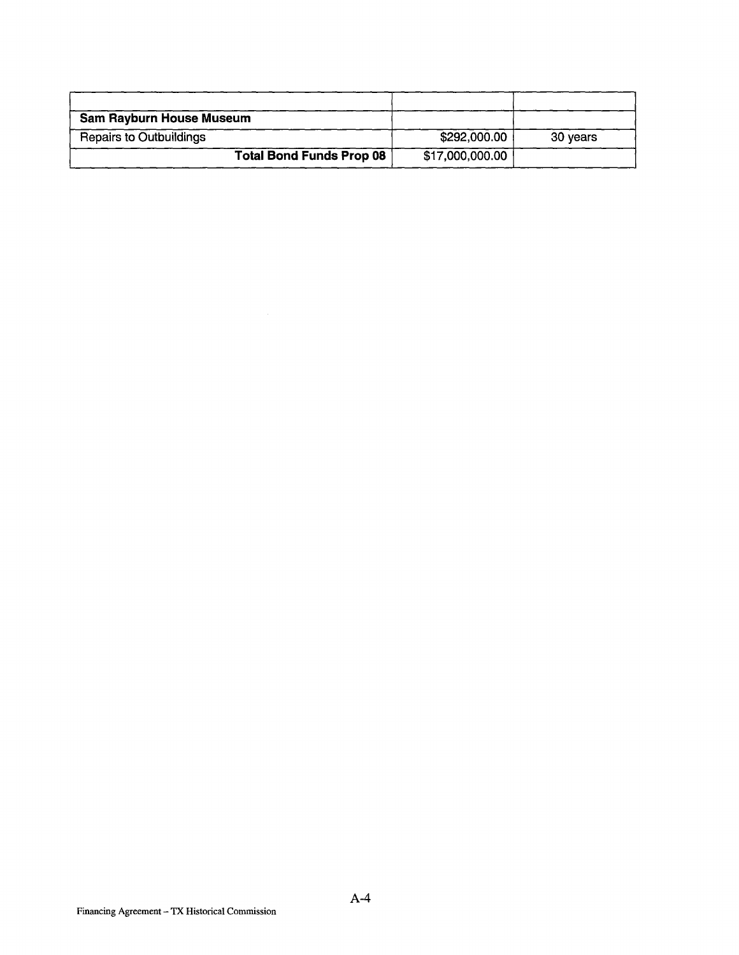| <b>Sam Rayburn House Museum</b> |                 |          |
|---------------------------------|-----------------|----------|
| <b>Repairs to Outbuildings</b>  | \$292,000.00    | 30 years |
| <b>Total Bond Funds Prop 08</b> | \$17,000,000.00 |          |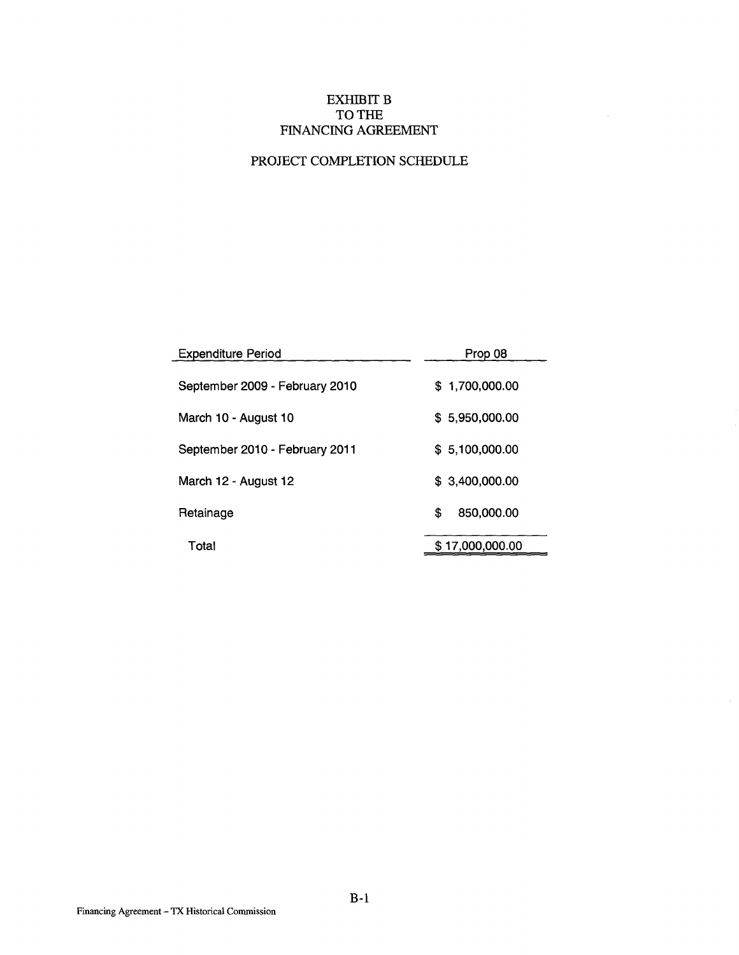# EXHIBIT B TO THE FINANCING AGREEMENT

 $\sim$ 

# PROJECT COMPLETION SCHEDULE

| <b>Expenditure Period</b>      | Prop 08          |
|--------------------------------|------------------|
| September 2009 - February 2010 | \$1,700,000.00   |
| March 10 - August 10           | \$5,950,000.00   |
| September 2010 - February 2011 | \$5,100,000.00   |
| March 12 - August 12           | \$ 3,400,000,00  |
| Retainage                      | \$<br>850,000.00 |
| Total                          | \$17,000,000.00  |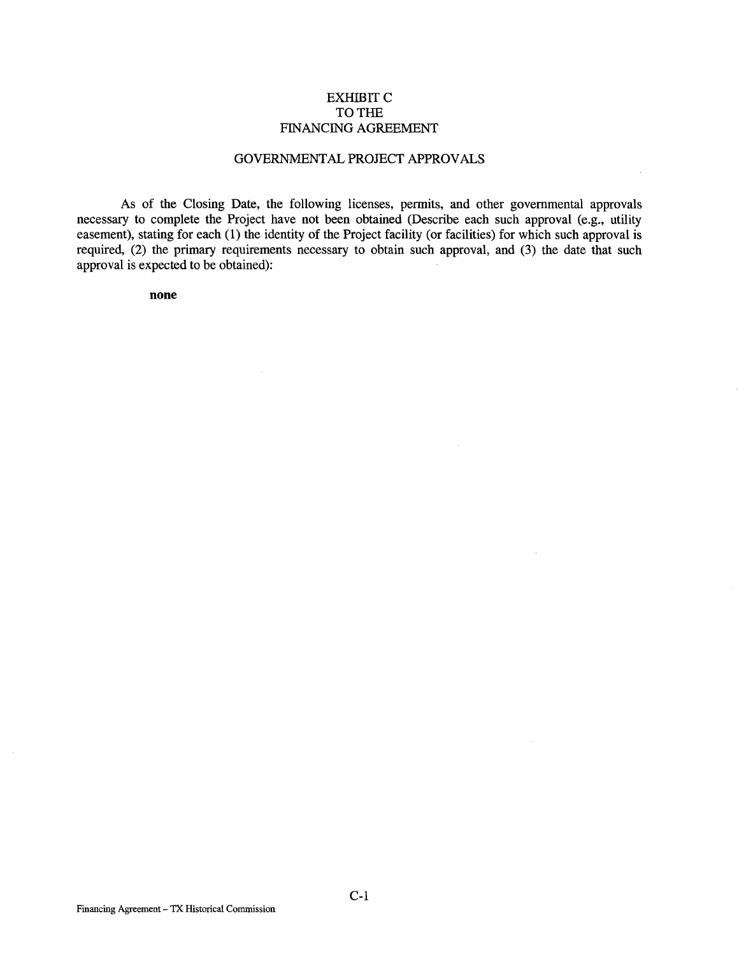#### EXHIBIT C TO THE FINANCING AGREEMENT

#### GOVERNMENTAL PROJECT APPROVALS

As of the Closing Date, the following licenses, permits, and other governmental approvals necessary to complete the Project have not been obtained (Describe each such approval (e.g., utility easement), stating for each (1) the identity of the Project facility (or facilities) for which such approval is required, (2) the primary requirements necessary to obtain such approval, and (3) the date that such approval is expected to be obtained):

**none**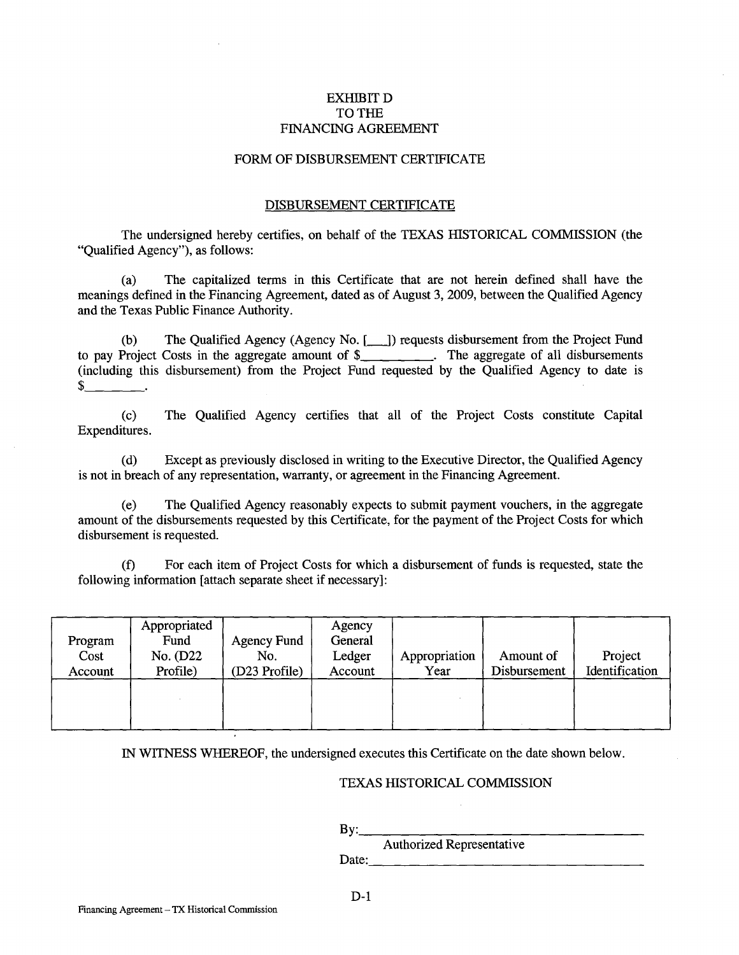## EXHIBIT D TO THE FINANCING AGREEMENT

#### FORM OF DISBURSEMENT CERTIFICATE

#### DISBURSEMENT CERTIFICATE

The undersigned hereby certifies, on behalf of the TEXAS HISTORICAL COMMISSION (the "Qualified Agency"), as follows:

(a) The capitalized terms in this Certificate that are not herein defined shall have the meanings defined in the Financing Agreement, dated as of August 3, 2009, between the Qualified Agency and the Texas Public Finance Authority.

(b) The Qualified Agency (Agency No. [100]) requests disbursement from the Project Fund to pay Project Costs in the aggregate amount of \$\_\_\_\_\_\_\_\_. The aggregate of all disbursements (including this disbursement) from the Project Fund requested by the Qualified Agency to date is \$ \_\_\_ \_

(c) The Qualified Agency certifies that all of the Project Costs constitute Capital Expenditures.

(d) Except as previously disclosed in writing to the Executive Director, the Qualified Agency is not in breach of any representation, warranty, or agreement in the Financing Agreement.

(e) The Qualified Agency reasonably expects to submit payment vouchers, in the aggregate amount of the disbursements requested by this Certificate, for the payment of the Project Costs for which disbursement is requested.

(f) For each item of Project Costs for which a disbursement of funds is requested, state the following information [attach separate sheet if necessary]:

| Program<br>Cost<br>Account | Appropriated<br>Fund<br>No. (D22)<br>Profile) | <b>Agency Fund</b><br>No.<br>(D23 Profile) | Agency<br>General<br>Ledger<br>Account | Appropriation<br>Year | Amount of<br>Disbursement | Project<br>Identification |
|----------------------------|-----------------------------------------------|--------------------------------------------|----------------------------------------|-----------------------|---------------------------|---------------------------|
|                            |                                               |                                            |                                        |                       |                           |                           |

IN WITNESS WHEREOF, the undersigned executes this Certificate on the date shown below.

## TEXAS HISTORICAL COMMISSION

By: \_\_\_\_\_\_\_\_\_\_\_\_\_\_ \_

Authorized Representative<br>Date: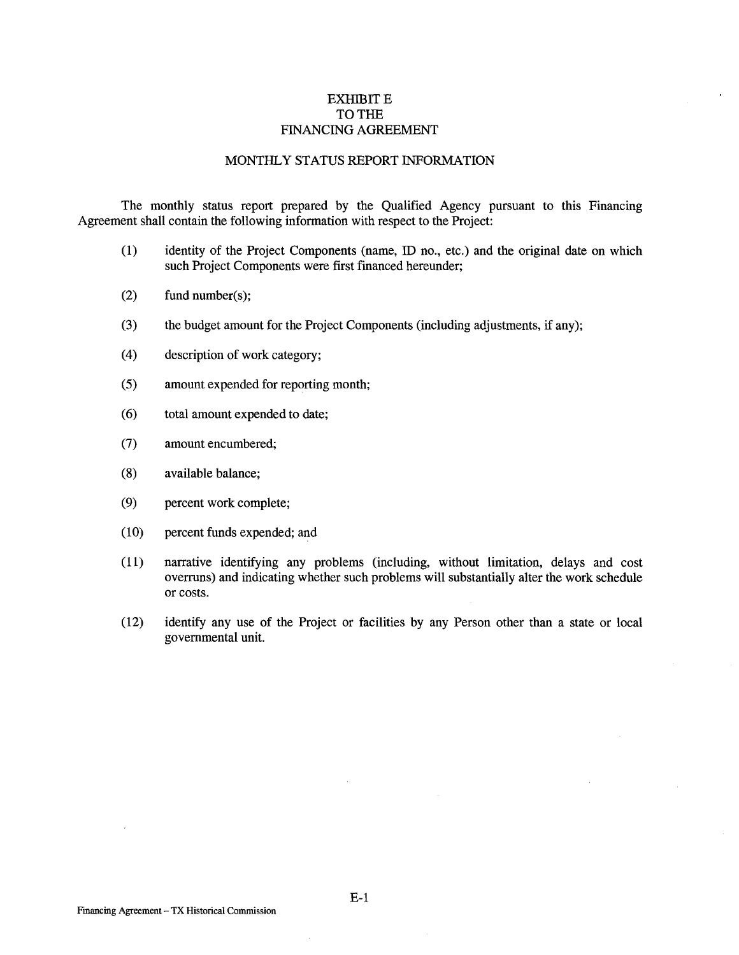## **EXHIBIT E** TO THE FINANCING AGREEMENT

## MONTHLY STATUS REPORT INFORMATION

The monthly status report prepared by the Qualified Agency pursuant to this Financing Agreement shall contain the following information with respect to the Project:

- (1) identity of the Project Components (name, ID no., etc.) and the original date on which such Project Components were first financed hereunder;
- (2) fund number(s);
- (3) the budget amount for the Project Components (including adjustments, if any);
- (4) description of work category;
- (5) amount expended for reporting month;
- (6) total amount expended to date;
- (7) amount encumbered;
- (8) available balance;
- (9) percent work complete;
- (10) percent funds expended; and
- (11) narrative identifying any problems (including, without limitation, delays and cost overruns) and indicating whether such problems will substantially alter the work schedule or costs.
- (12) identify any use of the Project or facilities by any Person other than a state or local governmental unit.

E-1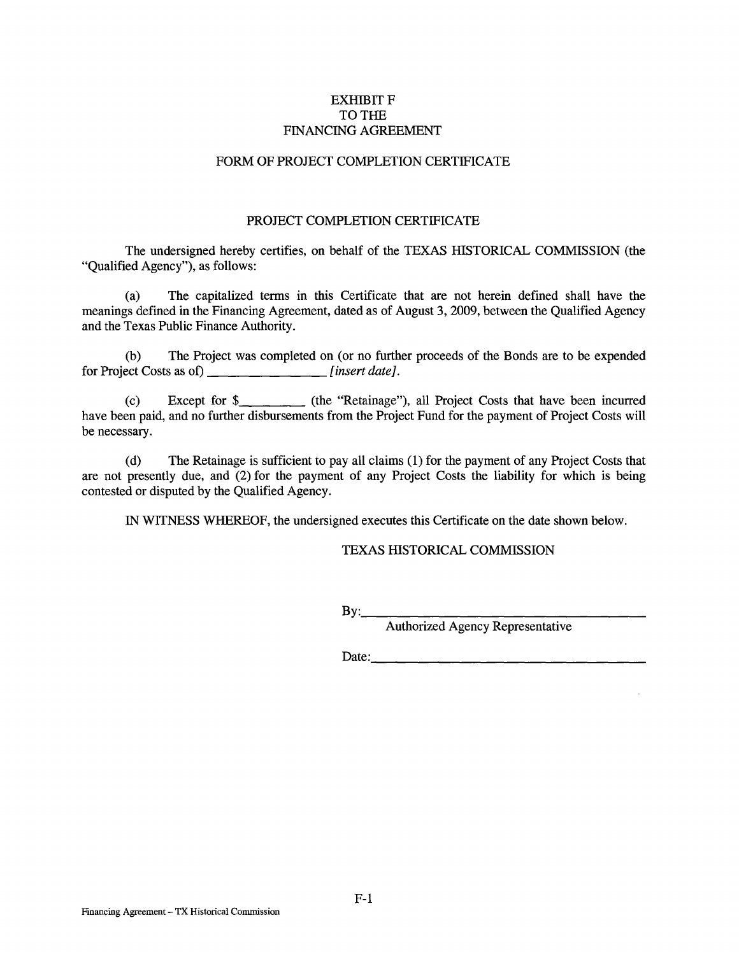# **EXHIBIT F** TO THE FINANCING AGREEMENT

#### FORM OF PROJECT COMPLETION CERTIFICATE

#### PROJECT COMPLETION CERTIFICATE

The undersigned hereby certifies, on behalf of the TEXAS HISTORICAL COMMISSION (the "Qualified Agency"), as follows:

(a) The capitalized terms in this Certificate that are not herein defined shall have the meanings defined in the Financing Agreement, dated as of August 3, 2009, between the Qualified Agency and the Texas Public Finance Authority.

(b) The Project was completed on (or no further proceeds of the Bonds are to be expended for Project Costs as of) \_\_\_\_\_\_\_\_\_\_\_\_\_\_\_\_\_\_\_\_*[insert date]*.

(c) Except for \$ (the "Retainage"), all Project Costs that have been incurred have been paid, and no further disbursements from the Project Fund for the payment of Project Costs will be necessary.

(d) The Retainage is sufficient to pay all claims (1) for the payment of any Project Costs that are not presently due, and (2) for the payment of any Project Costs the liability for which is being contested or disputed by the Qualified Agency.

IN WITNESS WHEREOF, the undersigned executes this Certificate on the date shown below.

TEXAS HISTORICAL COMMISSION

 $\mathbf{B} \mathbf{y}$ :

Authorized Agency Representative

Date:  $\qquad \qquad$